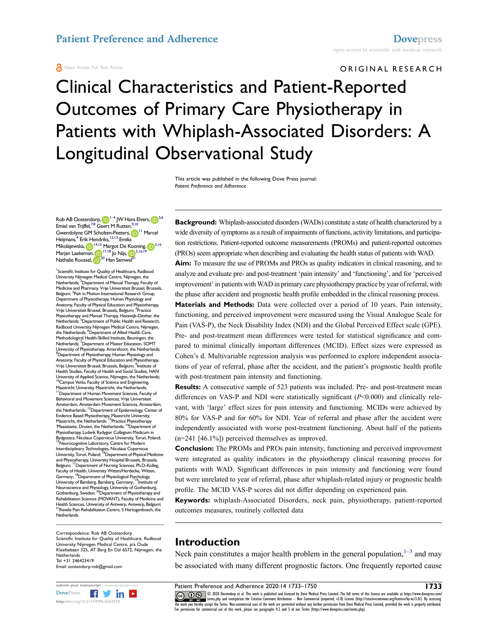#### **A** Open Access Full Text Article

ORIGINAL RESEARCH

# Clinical Characteristics and Patient-Reported Outcomes of Primary Care Physiotherapy in Patients with Whiplash-Associated Disorders: A Longitudinal Observational Study

This article was published in the following Dove Press journal: *Patient Preference and Adherence*

Rob AB Oostendorp[,](http://orcid.org/0000-0003-0423-1829)  $\left|\mathbf{p}\right|^{1-4}$  $\left|\mathbf{p}\right|^{1-4}$  $\left|\mathbf{p}\right|^{1-4}$  JW Hans Elvers,  $\left|\mathbf{p}\right|^{5,6}$  $\left|\mathbf{p}\right|^{5,6}$  $\left|\mathbf{p}\right|^{5,6}$  $\left|\mathbf{p}\right|^{5,6}$ Emiel van Trijffel,<sup>[7](#page-0-4)[,8](#page-0-5)</sup> Geert M Rutten,<sup>9,[10](#page-0-7)</sup> Gwendolyne GM Scholten-Peeters[,](http://orcid.org/0000-0002-4409-9554) D<sup>11</sup> Marcel Heijmans,<sup>4</sup> Erik Hendriks, <sup>12,13</sup> Emilia Mikolajewska[,](http://orcid.org/0000-0002-2769-3068) 19<sup>[14,](#page-0-11)15</sup> Margot De Kooning, 19<sup>[3](#page-0-13),16</sup> Marjan Laekeman[,](http://orcid.org/0000-0002-8466-3404) [17](#page-0-15)[,18](#page-0-16) Jo Nijs, 1 [3,](#page-0-13)[16](#page-0-14)[,19](#page-0-17) Nathalie Roussel[,](http://orcid.org/0000-0002-7409-878X) <sup>(D) 20</sup> Han Samwel<sup>[21](#page-0-19)</sup>

<span id="page-0-13"></span><span id="page-0-7"></span><span id="page-0-6"></span><span id="page-0-5"></span><span id="page-0-4"></span><span id="page-0-3"></span><span id="page-0-2"></span><span id="page-0-1"></span><span id="page-0-0"></span><sup>1</sup> Scientific Institute for Quality of Healthcare, Radboud University Nijmegen Medical Centre, Nijmegen, the Netherlands; <sup>2</sup>Department of Manual Therapy, Faculty of Medicine and Pharmacy, Vrije Universiteit Brussel, Brussels, Belgium; <sup>3</sup> Pain in Motion International Research Group, Department of Physiotherapy, Human Physiology and Anatomy, Faculty of Physical Education and Physiotherapy, Vrije Universiteit Brussel, Brussels, Belgium; 4 Practice Physiotherapy and Manual Therapy, Heeswijk-Dinther, the<br>Netherlands; <sup>5</sup>Department of Public Health and Research, Radboud University Nijmegen Medical Centre, Nijmegen, the Netherlands; <sup>6</sup>Department of Allied Health Care, Methodological Health-Skilled Institute, Beuningen, the Netherlands; <sup>7</sup>Department of Master Education, SOMT University of Physiotherapy, Amersfoort, the Netherlands; <sup>8</sup>Department of Physiotherapy, Human Physiology and Anatomy, Faculty of Physical Education and Physiotherapy, Vrije Universiteit Brussel, Brussels, Belgium; 9 Institute of Health Studies, Faculty of Health and Social Studies, HAN University of Applied Science, Nijmegen, the Netherlands; <sup>10</sup>Campus Venlo, Faculty of Science and Engineering, Maastricht University, Maastricht, the Netherlands;<br><sup>11</sup>Department of Human Movement Sciences, Faculty of Behavioral and Movement Sciences, Vrije Universiteit Amsterdam, Amsterdam Movement Sciences, Amsterdam,<br>the Netherlands; <sup>12</sup>Department of Epidemiology, Center of Evidence Based Physiotherapy, Maastricht University,<br>Maastricht, the Netherlands; <sup>13</sup>Practice Physiotherapy 'Maasstaete, Druten, the Netherlands; <sup>14</sup>Department of Physiotherapy, Ludwik Rydygier Collegium Medicum in Bydgoszcz, Nicolaus Copernicus University, Toruń, Poland;<br><sup>15</sup>Neurocognitive Laboratory, Centre for Modern Interdisciplinary Technologies, Nicolaus Copernicus<br>University, Toruń, Poland; <sup>16</sup>Department of Physical Medicine and Physiotherapy, University Hospital Brussels, Brussels, Belgium; <sup>17</sup>Department of Nursing Sciences, Ph.D.-Kolleg,<br>Faculty of Health, University Witten/Herdecke, Witten,<br>Germany; <sup>18</sup>Department of Physiological Psychology, University of Bamberg, Bamberg, Germany; <sup>19</sup>Institute of<br>Neuroscience and Physiology, University of Gothenburg,<br>Gothenburg, Sweden; <sup>20</sup>Department of Physiotherapy and Rehabilitation Sciences (MOVANT), Faculty of Medicine and Health Sciences, University of Antwerp, Antwerp, Belgium; 21Revalis Pain Rehabilitation Centre, S Hertogenbosch, the **Netherlands** 

<span id="page-0-19"></span><span id="page-0-18"></span><span id="page-0-17"></span><span id="page-0-16"></span><span id="page-0-15"></span><span id="page-0-14"></span><span id="page-0-12"></span><span id="page-0-11"></span><span id="page-0-10"></span>Correspondence: Rob AB Oostendorp Scientifc Institute for Quality of Healthcare, Radboud University Nijmegen Medical Centre, p/a Oude Kleefsebaan 325, AT Berg En Dal 6572, Nijmegen, the **Netherlands** Tel +31 246423419 Email [oostendorp.rob@gmail.com](mailto:oostendorp.rob@gmail.com)



**Background:** Whiplash-associated disorders (WADs) constitute a state of health characterized by a wide diversity of symptoms as a result of impairments of functions, activity limitations, and participation restrictions. Patient-reported outcome measurements (PROMs) and patient-reported outcomes (PROs) seem appropriate when describing and evaluating the health status of patients with WAD.

**Aim:** To measure the use of PROMs and PROs as quality indicators in clinical reasoning, and to analyze and evaluate pre- and post-treatment 'pain intensity' and 'functioning', and for 'perceived improvement' in patients with WAD in primary care physiotherapy practice by year of referral, with the phase after accident and prognostic health profle embedded in the clinical reasoning process.

**Materials and Methods:** Data were collected over a period of 10 years. Pain intensity, functioning, and perceived improvement were measured using the Visual Analogue Scale for Pain (VAS-P), the Neck Disability Index (NDI) and the Global Perceived Effect scale (GPE). Pre- and post-treatment mean differences were tested for statistical signifcance and compared to minimal clinically important differences (MCID). Effect sizes were expressed as Cohen's d. Multivariable regression analysis was performed to explore independent associations of year of referral, phase after the accident, and the patient's prognostic health profle with post-treatment pain intensity and functioning.

<span id="page-0-9"></span><span id="page-0-8"></span>**Results:** A consecutive sample of 523 patients was included. Pre- and post-treatment mean differences on VAS-P and NDI were statistically signifcant (*P*<0.000) and clinically relevant, with 'large' effect sizes for pain intensity and functioning. MCIDs were achieved by 80% for VAS-P and for 60% for NDI. Year of referral and phase after the accident were independently associated with worse post-treatment functioning. About half of the patients (n=241 [46.1%]) perceived themselves as improved.

**Conclusion:** The PROMs and PROs pain intensity, functioning and perceived improvement were integrated as quality indicators in the physiotherapy clinical reasoning process for patients with WAD. Signifcant differences in pain intensity and functioning were found but were unrelated to year of referral, phase after whiplash-related injury or prognostic health profle. The MCID VAS-P scores did not differ depending on experienced pain.

**Keywords:** whiplash-Associated Disorders, neck pain, physiotherapy, patient-reported outcomes measures, routinely collected data

## **Introduction**

<span id="page-0-20"></span>Neck pain constitutes a major health problem in the general population, $1-3$  $1-3$  and may be associated with many different prognostic factors. One frequently reported cause

submit your manuscript | www.dovepress.com **Patient Preference and Adherence 2020:14 1733—1750** THE METAL TOT NE<br>[DovePress](http://www.dovepress.com) **Figure 19th States (CC) (F) Se** 2020 Ostendorp et al. This work is published and licensed by Dove www.paylicems.php and incorporate the Creative Commons Attribution — Non Commercial (unported, v3.0) License (http://creativecommons.org/licenses/by-nc/3.0/). By accessing<br>the work you hereby accept the Terms. Non-commerci For permission for commercial use of this work, please see paragraphs 4.2 and 5 of our Terms (https://www.dovepress.com/terms.php).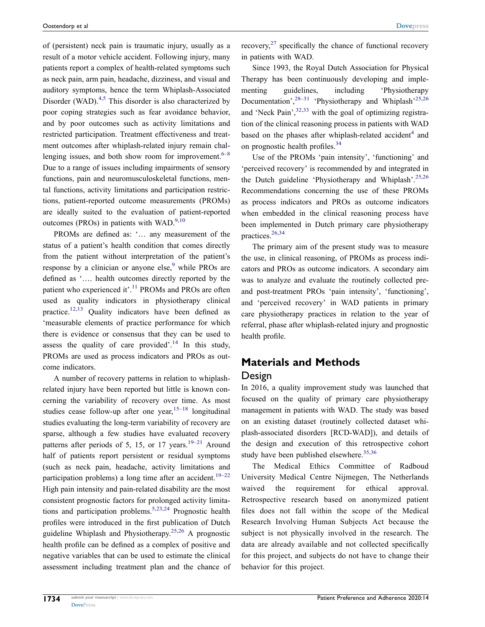of (persistent) neck pain is traumatic injury, usually as a result of a motor vehicle accident. Following injury, many patients report a complex of health-related symptoms such as neck pain, arm pain, headache, dizziness, and visual and auditory symptoms, hence the term Whiplash-Associated Disorder (WAD).<sup>[4](#page-14-2),5</sup> This disorder is also characterized by poor coping strategies such as fear avoidance behavior, and by poor outcomes such as activity limitations and restricted participation. Treatment effectiveness and treatment outcomes after whiplash-related injury remain challenging issues, and both show room for improvement.  $6-8$ Due to a range of issues including impairments of sensory functions, pain and neuromusculoskeletal functions, mental functions, activity limitations and participation restrictions, patient-reported outcome measurements (PROMs) are ideally suited to the evaluation of patient-reported outcomes (PROs) in patients with WAD. $9,10$  $9,10$ 

<span id="page-1-4"></span><span id="page-1-3"></span><span id="page-1-2"></span>PROMs are defned as: '… any measurement of the status of a patient's health condition that comes directly from the patient without interpretation of the patient's response by a clinician or anyone else, $9$  while PROs are defned as '…. health outcomes directly reported by the patient who experienced it'.<sup>11</sup> PROMs and PROs are often used as quality indicators in physiotherapy clinical practice.<sup>12,[13](#page-15-0)</sup> Quality indicators have been defined as 'measurable elements of practice performance for which there is evidence or consensus that they can be used to assess the quality of care provided'.<sup>14</sup> In this study, PROMs are used as process indicators and PROs as outcome indicators.

<span id="page-1-9"></span><span id="page-1-8"></span><span id="page-1-7"></span><span id="page-1-6"></span><span id="page-1-5"></span><span id="page-1-1"></span>A number of recovery patterns in relation to whiplashrelated injury have been reported but little is known concerning the variability of recovery over time. As most studies cease follow-up after one year,  $15-18$  $15-18$  longitudinal studies evaluating the long-term variability of recovery are sparse, although a few studies have evaluated recovery patterns after periods of 5, 15, or 17 years.<sup>19–21</sup> Around half of patients report persistent or residual symptoms (such as neck pain, headache, activity limitations and participation problems) a long time after an accident.<sup>[19](#page-15-4)–22</sup> High pain intensity and pain-related disability are the most consistent prognostic factors for prolonged activity limita-tions and participation problems.<sup>[5](#page-14-3)[,23,](#page-15-7)[24](#page-15-8)</sup> Prognostic health profles were introduced in the frst publication of Dutch guideline Whiplash and Physiotherapy.[25](#page-15-9)[,26](#page-15-10) A prognostic health profle can be defned as a complex of positive and negative variables that can be used to estimate the clinical assessment including treatment plan and the chance of <span id="page-1-12"></span>recovery, $27$  specifically the chance of functional recovery in patients with WAD.

<span id="page-1-14"></span><span id="page-1-13"></span>Since 1993, the Royal Dutch Association for Physical Therapy has been continuously developing and implementing guidelines, including 'Physiotherapy Documentation',  $28-31$  'Physiotherapy and Whiplash'<sup>[25](#page-15-9),[26](#page-15-10)</sup> and 'Neck Pain',  $32,33$  $32,33$  with the goal of optimizing registration of the clinical reasoning process in patients with WAD based on the phases after whiplash-related accident<sup>4</sup> and on prognostic health profiles.<sup>[34](#page-15-16)</sup>

<span id="page-1-10"></span><span id="page-1-0"></span>Use of the PROMs 'pain intensity', 'functioning' and 'perceived recovery' is recommended by and integrated in the Dutch guideline 'Physiotherapy and Whiplash'.<sup>[25](#page-15-9),[26](#page-15-10)</sup> Recommendations concerning the use of these PROMs as process indicators and PROs as outcome indicators when embedded in the clinical reasoning process have been implemented in Dutch primary care physiotherapy practices.<sup>[26](#page-15-10)[,34](#page-15-16)</sup>

<span id="page-1-11"></span>The primary aim of the present study was to measure the use, in clinical reasoning, of PROMs as process indicators and PROs as outcome indicators. A secondary aim was to analyze and evaluate the routinely collected preand post-treatment PROs 'pain intensity', 'functioning', and 'perceived recovery' in WAD patients in primary care physiotherapy practices in relation to the year of referral, phase after whiplash-related injury and prognostic health profle.

## **Materials and Methods**

## Design

In 2016, a quality improvement study was launched that focused on the quality of primary care physiotherapy management in patients with WAD. The study was based on an existing dataset (routinely collected dataset whiplash-associated disorders [RCD-WAD]), and details of the design and execution of this retrospective cohort study have been published elsewhere. $35,36$  $35,36$ 

<span id="page-1-15"></span>The Medical Ethics Committee of Radboud University Medical Centre Nijmegen, The Netherlands waived the requirement for ethical approval. Retrospective research based on anonymized patient fles does not fall within the scope of the Medical Research Involving Human Subjects Act because the subject is not physically involved in the research. The data are already available and not collected specifcally for this project, and subjects do not have to change their behavior for this project.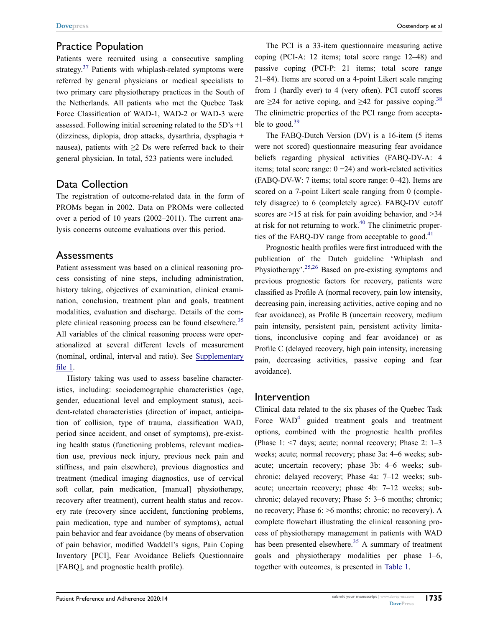## Practice Population

<span id="page-2-0"></span>Patients were recruited using a consecutive sampling strategy. $37$  Patients with whiplash-related symptoms were referred by general physicians or medical specialists to two primary care physiotherapy practices in the South of the Netherlands. All patients who met the Quebec Task Force Classifcation of WAD-1, WAD-2 or WAD-3 were assessed. Following initial screening related to the  $5D's +1$ (dizziness, diplopia, drop attacks, dysarthria, dysphagia + nausea), patients with  $\geq 2$  Ds were referred back to their general physician. In total, 523 patients were included.

## Data Collection

The registration of outcome-related data in the form of PROMs began in 2002. Data on PROMs were collected over a period of 10 years (2002–2011). The current analysis concerns outcome evaluations over this period.

## Assessments

Patient assessment was based on a clinical reasoning process consisting of nine steps, including administration, history taking, objectives of examination, clinical examination, conclusion, treatment plan and goals, treatment modalities, evaluation and discharge. Details of the complete clinical reasoning process can be found elsewhere.<sup>35</sup> All variables of the clinical reasoning process were operationalized at several different levels of measurement (nominal, ordinal, interval and ratio). See [Supplementary](https://www.dovepress.com/get_supplementary_file.php?f=262578.docx)  file 1.

History taking was used to assess baseline characteristics, including: sociodemographic characteristics (age, gender, educational level and employment status), accident-related characteristics (direction of impact, anticipation of collision, type of trauma, classifcation WAD, period since accident, and onset of symptoms), pre-existing health status (functioning problems, relevant medication use, previous neck injury, previous neck pain and stiffness, and pain elsewhere), previous diagnostics and treatment (medical imaging diagnostics, use of cervical soft collar, pain medication, [manual] physiotherapy, recovery after treatment), current health status and recovery rate (recovery since accident, functioning problems, pain medication, type and number of symptoms), actual pain behavior and fear avoidance (by means of observation of pain behavior, modifed Waddell's signs, Pain Coping Inventory [PCI], Fear Avoidance Beliefs Questionnaire [FABQ], and prognostic health profle).

The PCI is a 33-item questionnaire measuring active coping (PCI-A: 12 items; total score range 12–48) and passive coping (PCI-P: 21 items; total score range 21–84). Items are scored on a 4-point Likert scale ranging from 1 (hardly ever) to 4 (very often). PCI cutoff scores are  $\geq$ 24 for active coping, and  $\geq$ 42 for passive coping.<sup>[38](#page-15-20)</sup> The clinimetric properties of the PCI range from acceptable to good. $39$ 

<span id="page-2-2"></span><span id="page-2-1"></span>The FABQ-Dutch Version (DV) is a 16-item (5 items were not scored) questionnaire measuring fear avoidance beliefs regarding physical activities (FABQ-DV-A: 4 items; total score range: 0 −24) and work-related activities (FABQ-DV-W: 7 items; total score range: 0–42). Items are scored on a 7-point Likert scale ranging from 0 (completely disagree) to 6 (completely agree). FABQ-DV cutoff scores are  $>15$  at risk for pain avoiding behavior, and  $>34$ at risk for not returning to work.<sup>[40](#page-15-22)</sup> The clinimetric proper-ties of the FABQ-DV range from acceptable to good.<sup>[41](#page-15-23)</sup>

<span id="page-2-4"></span><span id="page-2-3"></span>Prognostic health profles were frst introduced with the publication of the Dutch guideline 'Whiplash and Physiotherapy'.[25](#page-15-9)[,26](#page-15-10) Based on pre-existing symptoms and previous prognostic factors for recovery, patients were classifed as Profle A (normal recovery, pain low intensity, decreasing pain, increasing activities, active coping and no fear avoidance), as Profle B (uncertain recovery, medium pain intensity, persistent pain, persistent activity limitations, inconclusive coping and fear avoidance) or as Profle C (delayed recovery, high pain intensity, increasing pain, decreasing activities, passive coping and fear avoidance).

## Intervention

Clinical data related to the six phases of the Quebec Task Force  $WAD<sup>4</sup>$  guided treatment goals and treatment options, combined with the prognostic health profles (Phase 1: <7 days; acute; normal recovery; Phase 2: 1–3 weeks; acute; normal recovery; phase 3a: 4–6 weeks; subacute; uncertain recovery; phase 3b: 4–6 weeks; subchronic; delayed recovery; Phase 4a: 7–12 weeks; subacute; uncertain recovery; phase 4b: 7–12 weeks; subchronic; delayed recovery; Phase 5: 3–6 months; chronic; no recovery; Phase 6: >6 months; chronic; no recovery). A complete fowchart illustrating the clinical reasoning process of physiotherapy management in patients with WAD has been presented elsewhere.<sup>[35](#page-15-17)</sup> A summary of treatment goals and physiotherapy modalities per phase 1–6, together with outcomes, is presented in [Table 1](#page-3-0).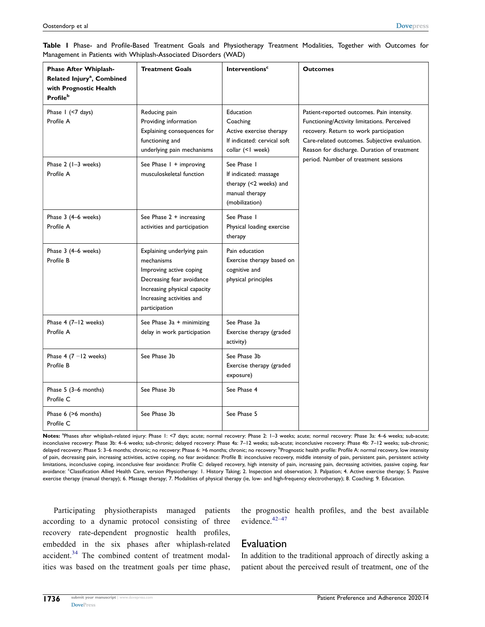| Phase After Whiplash-<br>Related Injury <sup>a</sup> , Combined<br>with Prognostic Health<br><b>Profile</b> <sup>b</sup> | <b>Treatment Goals</b>                                                                                                                                                         | <b>Interventions<sup>c</sup></b>                                                                    | <b>Outcomes</b>                                                                                                                                                                                                                     |
|--------------------------------------------------------------------------------------------------------------------------|--------------------------------------------------------------------------------------------------------------------------------------------------------------------------------|-----------------------------------------------------------------------------------------------------|-------------------------------------------------------------------------------------------------------------------------------------------------------------------------------------------------------------------------------------|
| Phase I (<7 days)<br>Profile A                                                                                           | Reducing pain<br>Providing information<br>Explaining consequences for<br>functioning and<br>underlying pain mechanisms                                                         | Education<br>Coaching<br>Active exercise therapy<br>If indicated: cervical soft<br>collar (<1 week) | Patient-reported outcomes. Pain intensity.<br>Functioning/Activity limitations. Perceived<br>recovery. Return to work participation<br>Care-related outcomes. Subjective evaluation.<br>Reason for discharge. Duration of treatment |
| Phase 2 (1-3 weeks)<br>Profile A                                                                                         | See Phase I + improving<br>musculoskeletal function                                                                                                                            | See Phase I<br>If indicated: massage<br>therapy (<2 weeks) and<br>manual therapy<br>(mobilization)  | period. Number of treatment sessions                                                                                                                                                                                                |
| Phase 3 (4-6 weeks)<br>Profile A                                                                                         | See Phase 2 + increasing<br>activities and participation                                                                                                                       | See Phase I<br>Physical loading exercise<br>therapy                                                 |                                                                                                                                                                                                                                     |
| Phase 3 (4-6 weeks)<br>Profile B                                                                                         | Explaining underlying pain<br>mechanisms<br>Improving active coping<br>Decreasing fear avoidance<br>Increasing physical capacity<br>Increasing activities and<br>participation | Pain education<br>Exercise therapy based on<br>cognitive and<br>physical principles                 |                                                                                                                                                                                                                                     |
| Phase 4 (7-12 weeks)<br>Profile A                                                                                        | See Phase 3a + minimizing<br>delay in work participation                                                                                                                       | See Phase 3a<br>Exercise therapy (graded<br>activity)                                               |                                                                                                                                                                                                                                     |
| Phase 4 $(7 - 12$ weeks)<br>Profile B                                                                                    | See Phase 3b                                                                                                                                                                   | See Phase 3b<br>Exercise therapy (graded<br>exposure)                                               |                                                                                                                                                                                                                                     |
| Phase 5 (3-6 months)<br>Profile C                                                                                        | See Phase 3b                                                                                                                                                                   | See Phase 4                                                                                         |                                                                                                                                                                                                                                     |
| Phase 6 (>6 months)<br>Profile C                                                                                         | See Phase 3b                                                                                                                                                                   | See Phase 5                                                                                         |                                                                                                                                                                                                                                     |

<span id="page-3-0"></span>**Table 1** Phase- and Profle-Based Treatment Goals and Physiotherapy Treatment Modalities, Together with Outcomes for Management in Patients with Whiplash-Associated Disorders (WAD)

Notes: <sup>a</sup>Phases after whiplash-related injury: Phase 1: <7 days; acute; normal recovery: Phase 3: 1-3 weeks; acute; normal recovery: Phase 3a: 4-6 weeks; sub-acute; inconclusive recovery: Phase 3b: 4–6 weeks; sub-chronic; delayed recovery: Phase 4a: 7–12 weeks; sub-acute; inconclusive recovery: Phase 4b: 7–12 weeks; sub-chronic; delayed recovery: Phase 5: 3–6 months; chronic; no recovery: Phase 6: >6 months; chronic; no recovery: <sup>b</sup>Prognostic health profile: Profile A: normal recovery, low intensity of pain, decreasing pain, increasing activities, active coping, no fear avoidance: Profle B: inconclusive recovery, middle intensity of pain, persistent pain, persistent activity limitations, inconclusive coping, inconclusive fear avoidance: Profile C: delayed recovery, high intensity of pain, increasing pain, decreasing activities, passive coping, fear avoidance: <sup>c</sup> Classifcation Allied Health Care, version Physiotherapy: 1. History Taking; 2. Inspection and observation; 3. Palpation; 4. Active exercise therapy; 5. Passive exercise therapy (manual therapy); 6. Massage therapy; 7. Modalities of physical therapy (ie, low- and high-frequency electrotherapy); 8. Coaching; 9. Education.

Participating physiotherapists managed patients according to a dynamic protocol consisting of three recovery rate-dependent prognostic health profles, embedded in the six phases after whiplash-related accident.<sup>[34](#page-15-16)</sup> The combined content of treatment modalities was based on the treatment goals per time phase,

<span id="page-3-1"></span>the prognostic health profles, and the best available evidence.[42](#page-15-24)[–47](#page-15-25)

## Evaluation

In addition to the traditional approach of directly asking a patient about the perceived result of treatment, one of the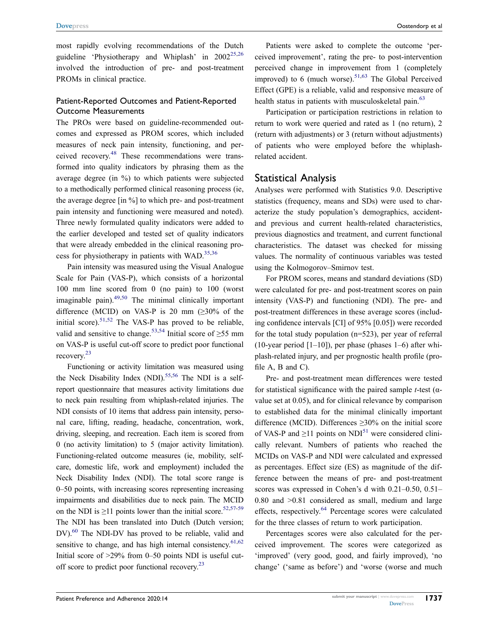most rapidly evolving recommendations of the Dutch guideline 'Physiotherapy and Whiplash' in 2002<sup>[25](#page-15-9),26</sup> involved the introduction of pre- and post-treatment PROMs in clinical practice.

### Patient-Reported Outcomes and Patient-Reported Outcome Measurements

<span id="page-4-0"></span>The PROs were based on guideline-recommended outcomes and expressed as PROM scores, which included measures of neck pain intensity, functioning, and perceived recovery.[48](#page-16-0) These recommendations were transformed into quality indicators by phrasing them as the average degree (in %) to which patients were subjected to a methodically performed clinical reasoning process (ie, the average degree [in %] to which pre- and post-treatment pain intensity and functioning were measured and noted). Three newly formulated quality indicators were added to the earlier developed and tested set of quality indicators that were already embedded in the clinical reasoning process for physiotherapy in patients with WAD. $^{35,36}$  $^{35,36}$  $^{35,36}$  $^{35,36}$ 

<span id="page-4-1"></span>Pain intensity was measured using the Visual Analogue Scale for Pain (VAS-P), which consists of a horizontal 100 mm line scored from 0 (no pain) to 100 (worst imaginable pain). $49,50$  $49,50$  The minimal clinically important difference (MCID) on VAS-P is 20 mm  $(\geq 30\%$  of the initial score).<sup>[51](#page-16-3),52</sup> The VAS-P has proved to be reliable, valid and sensitive to change.<sup>[53,](#page-16-5)[54](#page-16-6)</sup> Initial score of  $\geq$ 55 mm on VAS-P is useful cut-off score to predict poor functional recovery.[23](#page-15-7)

<span id="page-4-7"></span><span id="page-4-6"></span><span id="page-4-5"></span><span id="page-4-4"></span><span id="page-4-3"></span>Functioning or activity limitation was measured using the Neck Disability Index (NDI).<sup>55,56</sup> The NDI is a selfreport questionnaire that measures activity limitations due to neck pain resulting from whiplash-related injuries. The NDI consists of 10 items that address pain intensity, personal care, lifting, reading, headache, concentration, work, driving, sleeping, and recreation. Each item is scored from 0 (no activity limitation) to 5 (major activity limitation). Functioning-related outcome measures (ie, mobility, selfcare, domestic life, work and employment) included the Neck Disability Index (NDI). The total score range is 0–50 points, with increasing scores representing increasing impairments and disabilities due to neck pain. The MCID on the NDI is  $\geq$ 11 points lower than the initial score.<sup>[52,](#page-16-4)[57](#page-16-9)-59</sup> The NDI has been translated into Dutch (Dutch version; DV).<sup>[60](#page-16-11)</sup> The NDI-DV has proved to be reliable, valid and sensitive to change, and has high internal consistency. $61,62$ Initial score of >29% from 0–50 points NDI is useful cutoff score to predict poor functional recovery.[23](#page-15-7)

Patients were asked to complete the outcome 'perceived improvement', rating the pre- to post-intervention perceived change in improvement from 1 (completely improved) to 6 (much worse). $51,63$  $51,63$  The Global Perceived Effect (GPE) is a reliable, valid and responsive measure of health status in patients with musculoskeletal pain.<sup>[63](#page-16-14)</sup>

<span id="page-4-8"></span>Participation or participation restrictions in relation to return to work were queried and rated as 1 (no return), 2 (return with adjustments) or 3 (return without adjustments) of patients who were employed before the whiplashrelated accident.

## Statistical Analysis

Analyses were performed with Statistics 9.0. Descriptive statistics (frequency, means and SDs) were used to characterize the study population's demographics, accidentand previous and current health-related characteristics, previous diagnostics and treatment, and current functional characteristics. The dataset was checked for missing values. The normality of continuous variables was tested using the Kolmogorov–Smirnov test.

For PROM scores, means and standard deviations (SD) were calculated for pre- and post-treatment scores on pain intensity (VAS-P) and functioning (NDI). The pre- and post-treatment differences in these average scores (including confdence intervals [CI] of 95% [0.05]) were recorded for the total study population (n=523), per year of referral (10-year period  $[1-10]$ ), per phase (phases 1–6) after whiplash-related injury, and per prognostic health profle (profile A, B and C).

Pre- and post-treatment mean differences were tested for statistical signifcance with the paired sample *t*-test (αvalue set at 0.05), and for clinical relevance by comparison to established data for the minimal clinically important difference (MCID). Differences  $\geq$ 30% on the initial score of VAS-P and  $\geq$ 11 points on NDI<sup>[51](#page-16-3)</sup> were considered clinically relevant. Numbers of patients who reached the MCIDs on VAS-P and NDI were calculated and expressed as percentages. Effect size (ES) as magnitude of the difference between the means of pre- and post-treatment scores was expressed in Cohen's d with 0.21–0.50, 0.51– 0.80 and >0.81 considered as small, medium and large effects, respectively[.64](#page-16-15) Percentage scores were calculated for the three classes of return to work participation.

<span id="page-4-9"></span><span id="page-4-2"></span>Percentages scores were also calculated for the perceived improvement. The scores were categorized as 'improved' (very good, good, and fairly improved), 'no change' ('same as before') and 'worse (worse and much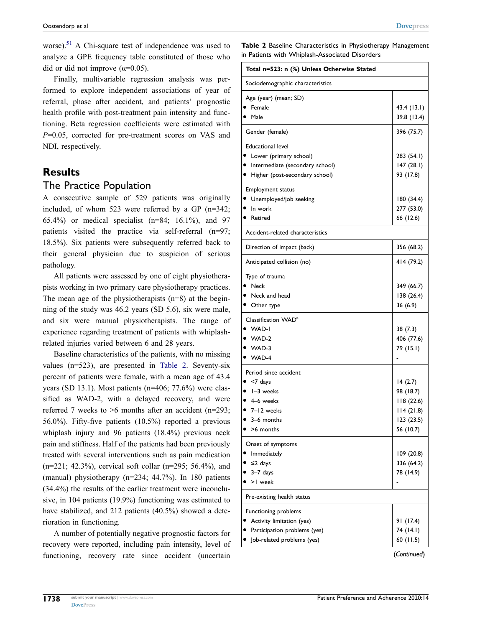worse).<sup>[51](#page-16-3)</sup> A Chi-square test of independence was used to analyze a GPE frequency table constituted of those who did or did not improve ( $\alpha$ =0.05).

Finally, multivariable regression analysis was performed to explore independent associations of year of referral, phase after accident, and patients' prognostic health profle with post-treatment pain intensity and functioning. Beta regression coefficients were estimated with *P*=0.05, corrected for pre-treatment scores on VAS and NDI, respectively.

## **Results**

## The Practice Population

A consecutive sample of 529 patients was originally included, of whom 523 were referred by a GP (n=342; 65.4%) or medical specialist (n=84; 16.1%), and 97 patients visited the practice via self-referral (n=97; 18.5%). Six patients were subsequently referred back to their general physician due to suspicion of serious pathology.

All patients were assessed by one of eight physiotherapists working in two primary care physiotherapy practices. The mean age of the physiotherapists  $(n=8)$  at the beginning of the study was 46.2 years (SD 5.6), six were male, and six were manual physiotherapists. The range of experience regarding treatment of patients with whiplashrelated injuries varied between 6 and 28 years.

Baseline characteristics of the patients, with no missing values (n=523), are presented in [Table 2](#page-5-0). Seventy-six percent of patients were female, with a mean age of 43.4 years (SD 13.1). Most patients (n=406; 77.6%) were classifed as WAD-2, with a delayed recovery, and were referred 7 weeks to  $>6$  months after an accident (n=293; 56.0%). Fifty-fve patients (10.5%) reported a previous whiplash injury and 96 patients (18.4%) previous neck pain and stiffness. Half of the patients had been previously treated with several interventions such as pain medication (n=221; 42.3%), cervical soft collar (n=295; 56.4%), and (manual) physiotherapy (n=234; 44.7%). In 180 patients (34.4%) the results of the earlier treatment were inconclusive, in 104 patients (19.9%) functioning was estimated to have stabilized, and 212 patients (40.5%) showed a deterioration in functioning.

A number of potentially negative prognostic factors for recovery were reported, including pain intensity, level of functioning, recovery rate since accident (uncertain <span id="page-5-0"></span>**Table 2** Baseline Characteristics in Physiotherapy Management in Patients with Whiplash-Associated Disorders

| Total n=523: n (%) Unless Otherwise Stated |             |
|--------------------------------------------|-------------|
| Sociodemographic characteristics           |             |
| Age (year) (mean; SD)                      |             |
| Female                                     | 43.4 (13.1) |
| Male                                       | 39.8 (13.4) |
| Gender (female)                            | 396 (75.7)  |
| <b>Educational level</b>                   |             |
| Lower (primary school)                     | 283 (54.1)  |
| Intermediate (secondary school)            | 147(28.1)   |
| Higher (post-secondary school)             | 93 (17.8)   |
| <b>Employment status</b>                   |             |
| Unemployed/job seeking                     | 180 (34.4)  |
| In work                                    | 277 (53.0)  |
| Retired                                    | 66 (12.6)   |
| Accident-related characteristics           |             |
| Direction of impact (back)                 | 356 (68.2)  |
| Anticipated collision (no)                 | 414 (79.2)  |
| Type of trauma                             |             |
| Neck                                       | 349 (66.7)  |
| Neck and head                              | 138 (26.4)  |
| Other type                                 | 36 (6.9)    |
| Classification WAD <sup>a</sup>            |             |
| WAD-I                                      | 38 (7.3)    |
| WAD-2                                      | 406 (77.6)  |
| $\bullet$ WAD-3                            | 79 (15.1)   |
| WAD-4                                      |             |
| Period since accident                      |             |
| <7 days                                    | 14(2.7)     |
| $\bullet$ 1-3 weeks                        | 98 (18.7)   |
| 4–6 weeks                                  | 118(22.6)   |
| $\bullet$ 7-12 weeks                       | 114(21.8)   |
| 3–6 months                                 | 123 (23.5)  |
| >6 months                                  | 56 (10.7)   |
| Onset of symptoms                          |             |
| Immediately                                | 109 (20.8)  |
| ≤2 days                                    | 336 (64.2)  |
| $3-7$ days                                 | 78 (14.9)   |
| >1 week                                    |             |
| Pre-existing health status                 |             |
| Functioning problems                       |             |
| Activity limitation (yes)                  | 91 (17.4)   |
| Participation problems (yes)               | 74 (14.1)   |
| Job-related problems (yes)                 | 60(11.5)    |

(*Continued*)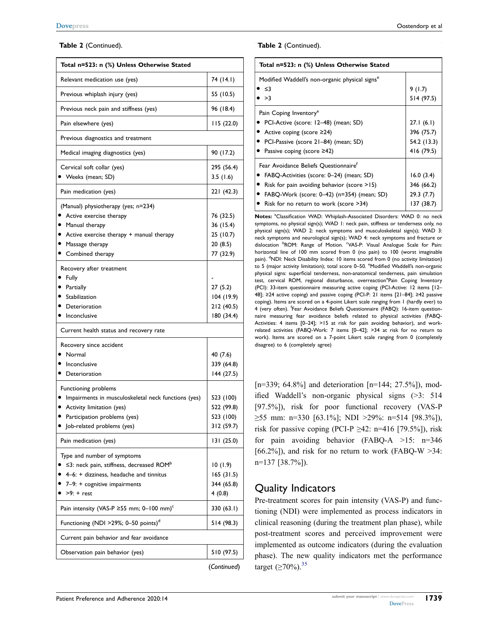#### **Table 2** (Continued).

| Total n=523: n (%) Unless Otherwise Stated                                                                                                                                            |                                                             |
|---------------------------------------------------------------------------------------------------------------------------------------------------------------------------------------|-------------------------------------------------------------|
| Relevant medication use (yes)                                                                                                                                                         | 74 (14.1)                                                   |
| Previous whiplash injury (yes)                                                                                                                                                        | 55 (10.5)                                                   |
| Previous neck pain and stiffness (yes)                                                                                                                                                | 96 (18.4)                                                   |
| Pain elsewhere (yes)                                                                                                                                                                  | 115(22.0)                                                   |
| Previous diagnostics and treatment                                                                                                                                                    |                                                             |
| Medical imaging diagnostics (yes)                                                                                                                                                     | 90 (17.2)                                                   |
| Cervical soft collar (yes)<br>$\bullet\;$ Weeks (mean; SD)                                                                                                                            | 295 (56.4)<br>3.5(1.6)                                      |
| Pain medication (yes)                                                                                                                                                                 | 221 (42.3)                                                  |
| (Manual) physiotherapy (yes; n=234)<br>• Active exercise therapy<br>$\bullet$ Manual therapy<br>• Active exercise therapy + manual therapy<br>• Massage therapy<br>• Combined therapy | 76 (32.5)<br>36 (15.4)<br>25 (10.7)<br>20(8.5)<br>77 (32.9) |
| Recovery after treatment<br>• Fully<br>· Partially<br>• Stabilization<br>• Deterioration<br>Inconclusive                                                                              | 27(5.2)<br>104 (19.9)<br>212 (40.5)<br>180 (34.4)           |
| Current health status and recovery rate                                                                                                                                               |                                                             |
| Recovery since accident<br>Normal<br>• Inconclusive<br>Deterioration                                                                                                                  | 40 (7.6)<br>339 (64.8)<br>144 (27.5)                        |
| Functioning problems<br>Impairments in musculoskeletal neck functions (yes)<br>Activity limitation (yes)<br>• Participation problems (yes)<br>Job-related problems (yes)              | 523 (100)<br>522 (99.8)<br>523 (100)<br>312 (59.7)          |
| Pain medication (yes)                                                                                                                                                                 | 131 (25.0)                                                  |
| Type and number of symptoms<br>$\leq$ 3: neck pain, stiffness, decreased ROM <sup>b</sup><br>4–6: + dizziness, headache and tinnitus<br>7-9: + cognitive impairments<br>$>9$ : + rest | 10(1.9)<br>165(31.5)<br>344 (65.8)<br>4(0.8)                |
| Pain intensity (VAS-P $\ge$ 55 mm; 0-100 mm) <sup>c</sup>                                                                                                                             | 330 (63.I)                                                  |
| Functioning (NDI >29%; 0-50 points) <sup>d</sup>                                                                                                                                      | 514 (98.3)                                                  |
| Current pain behavior and fear avoidance                                                                                                                                              |                                                             |
| Observation pain behavior (yes)                                                                                                                                                       | 510 (97.5)                                                  |
|                                                                                                                                                                                       | (Continued)                                                 |

#### **Table 2** (Continued).

| Total n=523: n (%) Unless Otherwise Stated                                                                                                                                                                                              |                                                      |
|-----------------------------------------------------------------------------------------------------------------------------------------------------------------------------------------------------------------------------------------|------------------------------------------------------|
| Modified Waddell's non-organic physical signs <sup>e</sup><br>-≤3<br>>3                                                                                                                                                                 | 9(1.7)<br>514 (97.5)                                 |
| Pain Coping Inventory <sup>e</sup><br>PCI-Active (score: 12–48) (mean; SD)<br>■ Active coping (score $\geq$ 24)<br>PCI-Passive (score 21–84) (mean; SD)<br>• Passive coping (score $\geq$ 42)                                           | 27.1(6.1)<br>396 (75.7)<br>54.2 (13.3)<br>416 (79.5) |
| Fear Avoidance Beliefs Ouestionnaire <sup>t</sup><br>FABQ-Activities (score: 0–24) (mean; SD)<br>Risk for pain avoiding behavior (score $>15$ )<br>FABQ-Work (score: 0–42) (n=354) (mean; SD)<br>Risk for no return to work (score >34) | 16.0(3.4)<br>346 (66.2)<br>29.3(7.7)<br>137 (38.7)   |

Notes: <sup>a</sup>Classification WAD: Whiplash-Associated Disorders: WAD 0: no neck symptoms, no physical sign(s); WAD 1: neck pain, stiffness or tenderness only, no physical sign(s); WAD 2: neck symptoms and musculoskeletal sign(s); WAD 3: neck symptoms and neurological sign(s); WAD 4: neck symptoms and fracture or dislocation <sup>b</sup>ROM: Range of Motion. VAS-P: Visual Analogue Scale for Pain: horizontal line of 100 mm scored from 0 (no pain) to 100 (worst imaginable pain). <sup>d</sup>NDI: Neck Disability Index: 10 items scored from 0 (no activity limitation) to 5 (major activity limitation); total score 0-50. <sup>e</sup>Modified Waddell's non-organic physical signs: superfcial tenderness, non-anatomical tenderness, pain simulation test, cervical ROM, regional disturbance, overreaction<sup>e</sup>Pain Coping Inventory (PCI): 33-item questionnaire measuring active coping (PCI-Active: 12 items [12– 48]; ≥24 active coping) and passive coping (PCI-P: 21 items [21–84]; ≥42 passive coping). Items are scored on a 4-point Likert scale ranging from 1 (hardly ever) to 4 (very often). <sup>f</sup>Fear Avoidance Beliefs Questionnaire (FABQ): 16-item questionnaire measuring fear avoidance beliefs related to physical activities (FABQ-Activities: 4 items [0–24]; >15 at risk for pain avoiding behavior), and workrelated activities (FABQ-Work: 7 items [0–42]; >34 at risk for no return to work). Items are scored on a 7-point Likert scale ranging from 0 (completely disagree) to 6 (completely agree)

[n=339; 64.8%] and deterioration  $[n=144; 27.5\%]$ , modifed Waddell's non-organic physical signs (>3: 514 [97.5%]), risk for poor functional recovery (VAS-P  $\geq$ 55 mm: n=330 [63.1%]; NDI >29%: n=514 [98.3%]), risk for passive coping (PCI-P  $\geq$ 42: n=416 [79.5%]), risk for pain avoiding behavior (FABQ-A >15: n=346 [66.2%]), and risk for no return to work (FABQ-W  $>34$ : n=137 [38.7%]).

## Quality Indicators

Pre-treatment scores for pain intensity (VAS-P) and functioning (NDI) were implemented as process indicators in clinical reasoning (during the treatment plan phase), while post-treatment scores and perceived improvement were implemented as outcome indicators (during the evaluation phase). The new quality indicators met the performance target  $(≥70%)$ .<sup>[35](#page-15-17)</sup>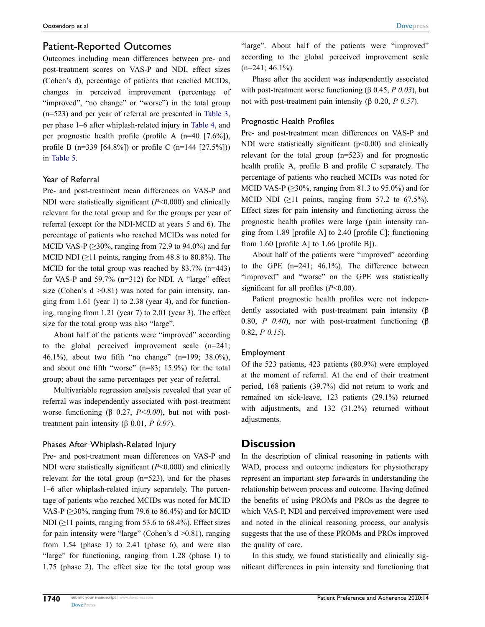## Patient-Reported Outcomes

Outcomes including mean differences between pre- and post-treatment scores on VAS-P and NDI, effect sizes (Cohen's d), percentage of patients that reached MCIDs, changes in perceived improvement (percentage of "improved", "no change" or "worse") in the total group (n=523) and per year of referral are presented in [Table 3](#page-8-0), per phase 1–6 after whiplash-related injury in [Table 4,](#page-10-0) and per prognostic health profle (profle A (n=40 [7.6%]), profle B (n=339 [64.8%]) or profle C (n=144 [27.5%])) in [Table 5.](#page-11-0)

#### Year of Referral

Pre- and post-treatment mean differences on VAS-P and NDI were statistically signifcant (*P*<0.000) and clinically relevant for the total group and for the groups per year of referral (except for the NDI-MCID at years 5 and 6). The percentage of patients who reached MCIDs was noted for MCID VAS-P ( $\geq$ 30%, ranging from 72.9 to 94.0%) and for MCID NDI  $(≥11$  points, ranging from 48.8 to 80.8%). The MCID for the total group was reached by 83.7% (n=443) for VAS-P and  $59.7\%$  (n=312) for NDI. A "large" effect size (Cohen's  $d > 0.81$ ) was noted for pain intensity, ranging from 1.61 (year 1) to 2.38 (year 4), and for functioning, ranging from 1.21 (year 7) to 2.01 (year 3). The effect size for the total group was also "large".

About half of the patients were "improved" according to the global perceived improvement scale (n=241; 46.1%), about two ffth "no change" (n=199; 38.0%), and about one ffth "worse" (n=83; 15.9%) for the total group; about the same percentages per year of referral.

Multivariable regression analysis revealed that year of referral was independently associated with post-treatment worse functioning ( $\beta$  0.27, *P<0.00*), but not with posttreatment pain intensity (β 0.01, *P 0.97*).

#### Phases After Whiplash-Related Injury

Pre- and post-treatment mean differences on VAS-P and NDI were statistically signifcant (*P*<0.000) and clinically relevant for the total group (n=523), and for the phases 1–6 after whiplash-related injury separately. The percentage of patients who reached MCIDs was noted for MCID VAS-P ( $\geq$ 30%, ranging from 79.6 to 86.4%) and for MCID NDI ( $\geq$ 11 points, ranging from 53.6 to 68.4%). Effect sizes for pain intensity were "large" (Cohen's d >0.81), ranging from 1.54 (phase 1) to 2.41 (phase 6), and were also "large" for functioning, ranging from 1.28 (phase 1) to 1.75 (phase 2). The effect size for the total group was

"large". About half of the patients were "improved" according to the global perceived improvement scale  $(n=241; 46.1\%)$ .

Phase after the accident was independently associated with post-treatment worse functioning (β 0.45, *P 0.03*), but not with post-treatment pain intensity (β 0.20, *P 0.57*).

#### Prognostic Health Profles

Pre- and post-treatment mean differences on VAS-P and NDI were statistically significant  $(p<0.00)$  and clinically relevant for the total group (n=523) and for prognostic health profle A, profle B and profle C separately. The percentage of patients who reached MCIDs was noted for MCID VAS-P ( $\geq$ 30%, ranging from 81.3 to 95.0%) and for MCID NDI  $(≥11 \text{ points}, \text{ ranging from } 57.2 \text{ to } 67.5\%).$ Effect sizes for pain intensity and functioning across the prognostic health profles were large (pain intensity ranging from 1.89 [profle A] to 2.40 [profle C]; functioning from 1.60 [profile A] to 1.66 [profile B]).

About half of the patients were "improved" according to the GPE (n=241; 46.1%). The difference between "improved" and "worse" on the GPE was statistically signifcant for all profles (*P*<0.00).

Patient prognostic health profles were not independently associated with post-treatment pain intensity (β 0.80, *P 0.40*), nor with post-treatment functioning (β 0.82, *P 0.15*).

#### Employment

Of the 523 patients, 423 patients (80.9%) were employed at the moment of referral. At the end of their treatment period, 168 patients (39.7%) did not return to work and remained on sick-leave, 123 patients (29.1%) returned with adjustments, and 132 (31.2%) returned without adjustments.

### **Discussion**

In the description of clinical reasoning in patients with WAD, process and outcome indicators for physiotherapy represent an important step forwards in understanding the relationship between process and outcome. Having defned the benefts of using PROMs and PROs as the degree to which VAS-P, NDI and perceived improvement were used and noted in the clinical reasoning process, our analysis suggests that the use of these PROMs and PROs improved the quality of care.

In this study, we found statistically and clinically signifcant differences in pain intensity and functioning that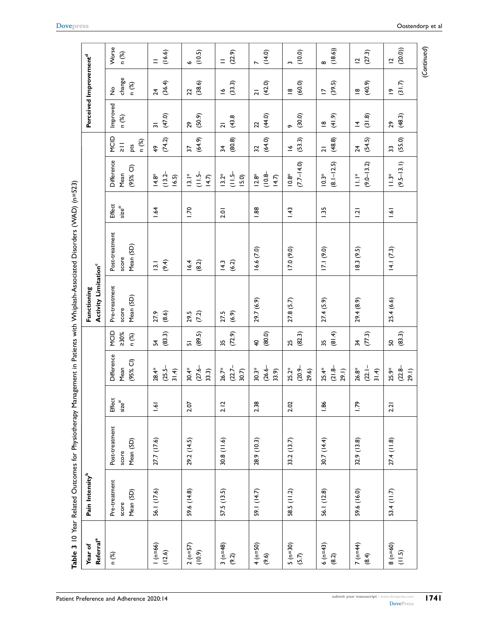<span id="page-8-0"></span>

|                                         |                                     |                                      |                       |                                  |                          |                                                        | Table 3 10 Year Related Outcomes for Physiotherapy Management in Patients with Whiplash-Associated Disorders (WAD) (n=523) |                    |                                         |                                              |                                    |                                               |                          |
|-----------------------------------------|-------------------------------------|--------------------------------------|-----------------------|----------------------------------|--------------------------|--------------------------------------------------------|----------------------------------------------------------------------------------------------------------------------------|--------------------|-----------------------------------------|----------------------------------------------|------------------------------------|-----------------------------------------------|--------------------------|
| <b>Referral</b> <sup>a</sup><br>Year of | Pain Intensity <sup>b</sup>         |                                      |                       |                                  |                          | <b>Activity Limitation</b> <sup>c</sup><br>Functioning |                                                                                                                            |                    |                                         |                                              | Perceived Improvement <sup>d</sup> |                                               |                          |
| n (%)                                   | Pre-treatment<br>Mean (SD)<br>score | Post-treatment<br>Mean (SD)<br>score | Effect<br>$size^{\#}$ | Difference<br>$(95%$ CI)<br>Mean | MCID<br>$>30\%$<br>n (%) | Pre-treatment<br>Mean (SD)<br>score                    | Post-treatment<br>Mean (SD)<br>score                                                                                       | Effect<br>$size$ # | <b>Difference</b><br>$(95%$ Cl)<br>Mean | MCID<br>n (%)<br>$\frac{1}{\sqrt{2}}$<br>pts | Improved<br>n (%)                  | change<br>n (%)<br>$\stackrel{\mathtt{o}}{z}$ | Worse<br>n (%)           |
| $1 (n=66)$<br>(12.6)                    | 56.1 (17.6)                         | 27.7 (17.6)                          | 1.61                  | $(25.5 -$<br>28.4*<br>31.4       | (83.3)<br>54             | (8.6)<br>27.9                                          | (9.4)<br>$\overline{3}$ .                                                                                                  | 1.64               | $(13.2 -$<br>$14.8*$<br>16.5)           | (74.2)<br>$\frac{6}{7}$                      | (47.0)<br>$\overline{5}$           | (36.4)<br>$\overline{24}$                     | (16.6)<br>$=$            |
| $2(n=57)$<br>(10.9)                     | 59.6 (14.8)                         | 29.2(14.5)                           | 2.07                  | $(27.6 -$<br>$30.4*$<br>33.3)    | (89.5)<br>$\overline{a}$ | 29.5<br>(7.2)                                          | (8.2)<br>16.4                                                                                                              | <b>0</b>           | $\frac{1}{2}$<br>$\frac{*}{2}$<br>14.7  | (64.9)<br>22                                 | (50.9)<br>29                       | (38.6)<br>22                                  | (10.5)<br>Ó              |
| $3(n=48)$<br>(9.2)                      | 57.5 (13.5)                         | 30.8(11.6)                           | 2.12                  | $(22.7 -$<br>$26.7*$<br>30.7)    | (72.9)<br>35             | (6.9)<br>27.5                                          | (6.2)<br>14.3                                                                                                              | 2.01               | $\frac{1}{11.5}$<br>$13.2*$<br>15.0     | (80.8)<br>$\frac{1}{2}$                      | (43.8)<br>$\overline{a}$           | (33.3)<br>$\tilde{=}$                         | (22.9)<br>$=$            |
| (0550)<br>(9.6)                         | 59.1 (14.7)                         | 28.9 (10.3)                          | 2.38                  | $(26.6 -$<br>$30.3*$<br>33.9)    | (80.0)<br>$\overline{4}$ | 29.7 (6.9)                                             | 16.6(7.0)                                                                                                                  | 1.88               | $(10.8 -$<br>$12.8*$<br>14.7            | (64.0)<br>32                                 | (44.0)<br>22                       | (42.0)<br>$\overline{a}$                      | (14.0)<br>$\overline{ }$ |
| $5 (n=30)$<br>(5.7)                     | 58.5 (11.2)                         | 33.2(13.7)                           | 2.02                  | $(20.9 -$<br>$25.2*$<br>29.6)    | (82.3)<br>25             | 27.8(5.7)                                              | (9.0)                                                                                                                      | 1.43               | $(7.7 - 14.0)$<br>$\frac{8}{10}$        | (53.3)<br>$\tilde{=}$                        | (30.0)<br>$\sigma$                 | (60.0)<br>$\overline{\mathbf{8}}$             | (10.0)<br>ς              |
| $6(n=43)$<br>(8.2)                      | 56.1 (12.8)                         | 30.7(14.4)                           | 1.86                  | $(21.8 -$<br>$25.4*$<br>29.1)    | (81.4)<br>35             | 27.4(5.9)                                              | 17.1(9.0)                                                                                                                  | 1.35               | $(8.1 - 12.5)$<br>$10.3*$               | (48.8)<br>$\overline{a}$                     | (41.9)<br>$\overset{\infty}{=}$    | (39.5)<br>$\overline{\phantom{0}}$            | (18.6)<br>$\infty$       |
| $7 (n=44)$<br>(8.4)                     | 59.6 (16.0)                         | 32.9(13.8)                           | <b>PZ1</b>            | $(22.1 -$<br>$26.8*$<br>31.4     | (77.3)<br>$\frac{1}{2}$  | 29.4(8.9)                                              | 18.3(9.5)                                                                                                                  | $\overline{121}$   | $(9.0 - 13.2)$<br>$\frac{*}{\Box}$      | (54.5)<br>24                                 | (31.8)<br>$\overline{4}$           | (40.9)<br>$\frac{\infty}{\infty}$             | (27.3)<br>$\overline{C}$ |
| $(09=0) 8$<br>$(11.5)$                  | 53.4 (11.7)                         | 27.4(11.8)                           | 2.21                  | $(22.8 -$<br>$25.9*$<br>29.1)    | (83.3)<br>SO,            | 25.4(6.6)                                              | 14.1(7.3)                                                                                                                  | $\overline{1.6}$   | $(9.5 - 13.1)$<br>$\stackrel{*}{=}$     | (55.0)<br>33                                 | (48.3)<br>29                       | (31.7)<br>$\tilde{c}$                         | (20.0)<br>$\overline{C}$ |

(*Continued*)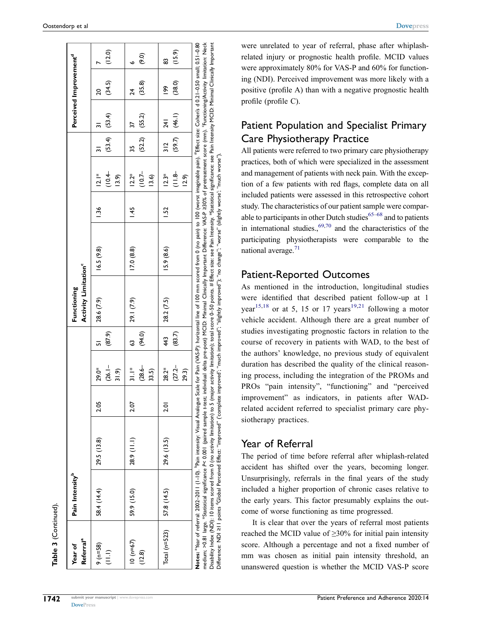| Referral <sup>a</sup><br>Year of | Pain Intensity <sup>p</sup> |                                                                                |            |                                      |               | Activity Limitation <sup>c</sup><br>Functioning |                                                                                                                                                                                                                                                                                                                                                                                                                                                                                                                                                                                                                             |                |                                   |                         |                          | Perceived Improvement <sup>a</sup> |                          |
|----------------------------------|-----------------------------|--------------------------------------------------------------------------------|------------|--------------------------------------|---------------|-------------------------------------------------|-----------------------------------------------------------------------------------------------------------------------------------------------------------------------------------------------------------------------------------------------------------------------------------------------------------------------------------------------------------------------------------------------------------------------------------------------------------------------------------------------------------------------------------------------------------------------------------------------------------------------------|----------------|-----------------------------------|-------------------------|--------------------------|------------------------------------|--------------------------|
| $9 (n=58)$<br>$\overline{11}$    | 58.4 (14.4)                 | 29.5(13.8)                                                                     | 2.05       | $(26.1 -$<br>29.0*<br>31.9           | (87.9)<br>丽   | 28.6 (7.9)                                      | 16.5(9.8)                                                                                                                                                                                                                                                                                                                                                                                                                                                                                                                                                                                                                   | $\frac{36}{2}$ | (10.4<br>$ 2.1*$<br>13.9          | $(53.4)$ $(53.4)$       |                          | (34.5)<br>20                       | (12.0)                   |
| $10 (n=67)$<br>(12.8)            | 59.9 (15.0)                 | 28.9 (11.1)                                                                    | 2.07       | $(28.6 -$<br>$\frac{*}{31}$<br>33.5) | (94.0)<br>3   | 29.1 (7.9)                                      | 17.0(8.8)                                                                                                                                                                                                                                                                                                                                                                                                                                                                                                                                                                                                                   | $\frac{45}{3}$ | $(10.7 -$<br>$12.2*$<br>13.6)     | (52.2)<br>35            | (55.2)<br>27             | (35.8)<br>24                       | $\widetilde{\mathbf{e}}$ |
| Total $(n=523)$                  | 57.8 (14.5)                 | 29.6 (13.5)                                                                    | <b>Dic</b> | $(27.2 -$<br>$28.2*$<br>29.3)        | (83.7)<br>443 | 28.2 (7.5)                                      | 15.9(8.6)                                                                                                                                                                                                                                                                                                                                                                                                                                                                                                                                                                                                                   | 1.52           | $\frac{1}{8}$<br>$12.3*$<br>(5.9) | (59.7)<br>$\frac{2}{3}$ | (46.1)<br>$\overline{4}$ | (38.0)<br>န္                       | (15.9)<br>සූ             |
|                                  |                             | medium; >0.81 large. *Statistical significance P< 0.001 (paired sample t-test; |            |                                      |               |                                                 | individual delta pre-post) MCID: Minimal Clinically Important Difference: VAS-P 230% of pretreatment score (mm). 'Functioning/Activity limitation: Neck<br>Notes: "Year of referral: 2002–2011 (1-10). "Pain intensity: Visual Analogue Scale for Pain (VAS-P): horizontal line of 100 mm scored from 0 (no pain) to 100 (worst imaginable pain). "Effect size: Cohen's d 0.21–0.50 small<br>Disability Index (NDI): 10 items scored from 0 (no activity limitation) to 5 (major activity limitation); total score 0-50 points # Effect size: see Pain Intensity. *Statistical significance: see Pain Intensity MCID: Minim |                |                                   |                         |                          |                                    |                          |

Disability Index (NDI): 10 items scored from 0 (no activity limitation) to 5 (major activity limitation); total score 0-50 points. # Effect size: see Pain Intensity. \*Statistical significance: see Pain Intensity MCID: Mini Impor Clinically Minimal  $|$ ntensity l air Disability Index (ND)): 10 items scored from 0 (no activity limitation) to 5 (major activity limitation); total score 0–50 points. # Effect size: see Pain Intensity, \*Statistical significance: see F<br>Difference: NDI 211 poi Difference: NDI ≥11 points dGlobal Perceived Effect: "improved" ('complete improved'; "much improved"; "slightly improved"); "no change"; "worse" (slightly worse'; "much worse").

#### Oostendorp et al **[Dovepress](http://www.dovepress.com)**

were unrelated to year of referral, phase after whiplashrelated injury or prognostic health profle. MCID values were approximately 80% for VAS-P and 60% for functioning (NDI). Perceived improvement was more likely with a positive (profle A) than with a negative prognostic health profle (profle C).

## Patient Population and Specialist Primary Care Physiotherapy Practice

All patients were referred to two primary care physiotherapy practices, both of which were specialized in the assessment and management of patients with neck pain. With the exception of a few patients with red fags, complete data on all included patients were assessed in this retrospective cohort study. The characteristics of our patient sample were comparable to participants in other Dutch studies $65-68$  $65-68$  and to patients in international studies., $69,70$  $69,70$  and the characteristics of the participating physiotherapists were comparable to the national average. $71$ 

## <span id="page-9-2"></span><span id="page-9-1"></span><span id="page-9-0"></span>Patient-Reported Outcomes

As mentioned in the introduction, longitudinal studies were identifed that described patient follow-up at 1 year<sup>[15,](#page-15-2)18</sup> or at 5, 15 or 17 years<sup>[19,](#page-15-4)[21](#page-15-5)</sup> following a motor vehicle accident. Although there are a great number of studies investigating prognostic factors in relation to the course of recovery in patients with WAD, to the best of the authors' knowledge, no previous study of equivalent duration has described the quality of the clinical reasoning process, including the integration of the PROMs and PROs "pain intensity", "functioning" and "perceived improvement" as indicators, in patients after WADrelated accident referred to specialist primary care physiotherapy practices.

## Year of Referral

The period of time before referral after whiplash-related accident has shifted over the years, becoming longer. Unsurprisingly, referrals in the fnal years of the study included a higher proportion of chronic cases relative to the early years. This factor presumably explains the outcome of worse functioning as time progressed.

It is clear that over the years of referral most patients reached the MCID value of  $\geq$ 30% for initial pain intensity score. Although a percentage and not a fxed number of mm was chosen as initial pain intensity threshold, an unanswered question is whether the MCID VAS-P score

**Table 3** (Continued).

Table 3 (Continued)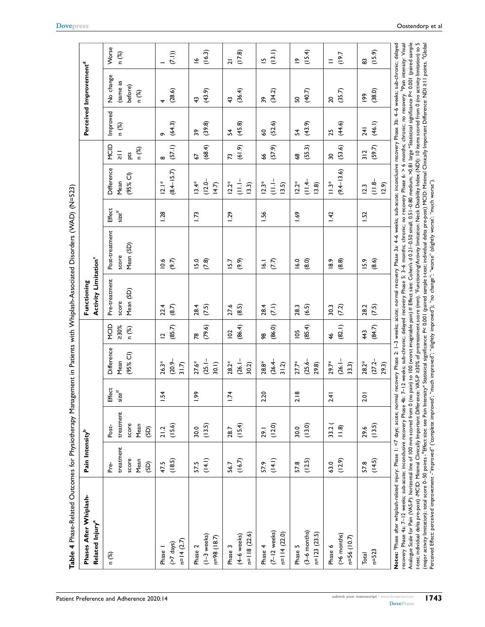<span id="page-10-0"></span>

| Phases After Whiplash-<br>Related Injury <sup>a</sup>                                                                                                                                                                                                                                                                                                                                                                                                                                                                                                                                                                                                                                                                                                                                                                                                                                                                                                                                                                                                                                                                                                                                                                                                                                                                                              | Pain Intensity <sup>b</sup>                |                                                       |                               |                                  |                                    | Activity Limitation <sup>c</sup><br>Functioning |                                      |                               |                                           |                                             |                   | Perceived Improvement <sup>d</sup>        |                          |
|----------------------------------------------------------------------------------------------------------------------------------------------------------------------------------------------------------------------------------------------------------------------------------------------------------------------------------------------------------------------------------------------------------------------------------------------------------------------------------------------------------------------------------------------------------------------------------------------------------------------------------------------------------------------------------------------------------------------------------------------------------------------------------------------------------------------------------------------------------------------------------------------------------------------------------------------------------------------------------------------------------------------------------------------------------------------------------------------------------------------------------------------------------------------------------------------------------------------------------------------------------------------------------------------------------------------------------------------------|--------------------------------------------|-------------------------------------------------------|-------------------------------|----------------------------------|------------------------------------|-------------------------------------------------|--------------------------------------|-------------------------------|-------------------------------------------|---------------------------------------------|-------------------|-------------------------------------------|--------------------------|
| n (%)                                                                                                                                                                                                                                                                                                                                                                                                                                                                                                                                                                                                                                                                                                                                                                                                                                                                                                                                                                                                                                                                                                                                                                                                                                                                                                                                              | treatment<br>score<br>Mean<br>(SD)<br>Pre- | treatment<br>score<br>Mean<br>Post-<br>$\overline{5}$ | Effect<br>$size$ <sup>#</sup> | Difference<br>$(95%$ CI)<br>Mean | MCID<br>>30%<br>n (%)              | Pre-treatment<br>Mean (SD)<br>score             | Post-treatment<br>Mean (SD)<br>score | Effect<br>$size$ <sup>#</sup> | Difference<br>(95% Cl)<br>Mean            | MCID<br>n (%)<br>$\frac{1}{\lambda}$<br>pts | Improved<br>n (%) | No change<br>(same as<br>before)<br>n (%) | Worse<br>n (%)           |
| $n=14(2.7)$<br>$(27 \text{ days})$<br>Phase 1                                                                                                                                                                                                                                                                                                                                                                                                                                                                                                                                                                                                                                                                                                                                                                                                                                                                                                                                                                                                                                                                                                                                                                                                                                                                                                      | (18.5)<br>47.5                             | (15.6)<br>21.2                                        | 1.54                          | $(20.9 -$<br>$26.3*$<br>31.7     | (85.7)<br>$\overline{\phantom{a}}$ | (8.7)<br>22.4                                   | (9.7)<br>10.6                        | 1.28                          | $(8.4 - 15.7)$<br>$ 2.1*$                 | (57.1)<br>$\infty$                          | (64.3)<br>ò       | (28.6)<br>4                               | (7.1)                    |
| $(1-3$ weeks)<br>n=98 (18.7)<br>Phase 2                                                                                                                                                                                                                                                                                                                                                                                                                                                                                                                                                                                                                                                                                                                                                                                                                                                                                                                                                                                                                                                                                                                                                                                                                                                                                                            | (14.1)<br>57.5                             | (13.5)<br>30.0                                        | $-1.99$                       | $(25.1 -$<br>$27.6*$<br>30.1     | (79.6)<br>78                       | 28.4<br>(7.5)                                   | 15.0<br>(7.8)                        | 1.73                          | $(12.0 -$<br>$13.4*$<br>14.7              | (68.4)<br>57                                | (39.8)<br>39      | (43.9)<br>$\boldsymbol{\hat{4}}$          | (16.3)<br>$\tilde{=}$    |
| $n=118(22.6)$<br>(4-6 weeks)<br>Phase 3                                                                                                                                                                                                                                                                                                                                                                                                                                                                                                                                                                                                                                                                                                                                                                                                                                                                                                                                                                                                                                                                                                                                                                                                                                                                                                            | (16.7)<br>56.7                             | (15.4)<br>28.7                                        | 1.74                          | $(26.1 -$<br>28.2*<br>30.2       | (86.4)<br>102                      | 27.6<br>(8.5)                                   | (9.9)<br>15.7                        | 1.29                          | $\frac{1}{\sqrt{1}}$<br>$12.2*$<br>13.3)  | (61.9)<br>73                                | (45.8)<br>54      | (36.4)<br>$\frac{4}{3}$                   | (17.8)<br>$\overline{a}$ |
| $(7-12$ weeks)<br>$n=114(22.0)$<br>Phase 4                                                                                                                                                                                                                                                                                                                                                                                                                                                                                                                                                                                                                                                                                                                                                                                                                                                                                                                                                                                                                                                                                                                                                                                                                                                                                                         | (14.1)<br>57.9                             | (12.0)<br>29.1                                        | 2.20                          | $(26.4 -$<br>28.8*<br>31.2       | (86.0)<br>98                       | (7.1)<br>28.4                                   | (7.7)<br>$\overline{6}$              | 1.56                          | $\frac{1}{\sqrt{11}}$<br>$12.3*$<br>13.5) | (57.9)<br>\$                                | (52.6)<br>SO      | (34.2)<br>39                              | (13.1)<br>$\overline{5}$ |
| $(3-6$ months)<br>$n=123(23.5)$<br>Phase 5                                                                                                                                                                                                                                                                                                                                                                                                                                                                                                                                                                                                                                                                                                                                                                                                                                                                                                                                                                                                                                                                                                                                                                                                                                                                                                         | (12.5)<br>57.8                             | (13.0)<br>30.0                                        | 2.18                          | $(25.6 -$<br>$27.7*$<br>29.8)    | (85.4)<br>105                      | 28.3<br>(6.5)                                   | (8.0)<br>16.0                        | 69                            | $\frac{11.4}{4}$<br>$12.2*$<br>13.8       | (55.3)<br>38                                | (43.9)<br>54      | (40.7)<br>ន                               | (15.4)<br>$\tilde{=}$    |
| (>6 months)<br>$n = 56(10.7)$<br>Phase 6                                                                                                                                                                                                                                                                                                                                                                                                                                                                                                                                                                                                                                                                                                                                                                                                                                                                                                                                                                                                                                                                                                                                                                                                                                                                                                           | (12.9)<br>63.0                             | 33.2(<br>$\begin{array}{c}\n\circ \\ 0\n\end{array}$  | 2.41                          | $(26.1 -$<br>29.7*<br>33.3)      | (82.1)<br>$\frac{4}{6}$            | (7.2)<br>30.3                                   | (8.8)<br>$\frac{8}{9}$               | $\overline{142}$              | $(9.4 - 13.6)$<br>$\stackrel{*}{=}$       | (53.6)<br>30                                | (44.6)<br>25      | (35.7)<br>$\overline{20}$                 | 19.7<br>$=$              |
| $n = 523$<br>Total                                                                                                                                                                                                                                                                                                                                                                                                                                                                                                                                                                                                                                                                                                                                                                                                                                                                                                                                                                                                                                                                                                                                                                                                                                                                                                                                 | (14.5)<br>57.8                             | (13.5)<br>29.6                                        | 2.01                          | $(27.2 -$<br>28.2*<br>29.3)      | (84.7)<br>443                      | (7.5)<br>28.2                                   | (8.6)<br>15.9                        | 1.52                          | $\frac{1}{9}$<br>12.9<br>12.3             | (59.7)<br>312                               | (46.1)<br>241     | (38.0)<br>$\frac{6}{6}$                   | (15.9)<br>83             |
| Analogue Scale for Pain (VAS-P): horizontal line of 100 mm scored from 0 (no pain) to 100 (worst imaginable pain) # Effect size: Cohen's d 0.21–0.50 small, 0.51–0.80 medium; >0.81 large *Statistical significance P< 0.001 (<br>recovery Phase 4a: 7–12 weeks; sub-acute; inconclusive recovery Phase 4b: 7–12 weeks; sub-chronic; delayed recovery Phase 5: 3–6 months; chronic; no recovery Phase 6: > 6 months; chronic; no recovery. Phain intensity: Visu<br>t-test; individual delta pre-post) -MCID: Minimal Clinically Important Difference: VAS-P ≥30% of pretreatment score (mm). Functioning/Activity limitation: Neck Disability Index (NDI): 10 items scored from 0 (no activity li<br>(major activity limitation); total score 0–50 points "Effect size: see Pain Intensity* Statistical significance: P< 0.001 (paired sample t-test; individual delta pre-post) MCID: Minimal Clinically Important Difference: NDI<br>Notes: <sup>a</sup> Phase after whiplash-related injury: Phase I: <7 days; acute; normal recovery Phase 3: 4-6 weeks; sub-acute; inconclusive recovery Phase 3b: 4-6 weeks; sub-acute; inconclusive recovery Phase 3b: 4-6 weeks; sub-ch<br>Perceived Effect: perceived improvement -"improved" ('complete improved'; 'much improved''; ''slightly improved''; ''worse'' (slightly worse'; 'much worse''). |                                            |                                                       |                               |                                  |                                    |                                                 |                                      |                               |                                           |                                             |                   |                                           |                          |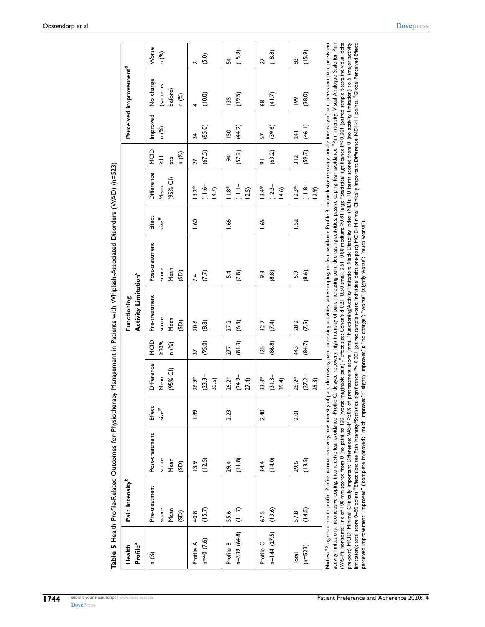<span id="page-11-0"></span>

| Profile <sup>a</sup><br>Health | Pain Intensity <sup>b</sup>            |                                                                                                                                                                                                                                                                                                                                                                                                                                                                                                                                                                                                                                                                                                                                                                                                                                                                                                                                                                                                                                                                                                                                                                                        |                               |                                  |                       | Activity Limitation <sup>c</sup><br>Functioning |                                                                                                                                                                        |                               |                                                  |                                                         |                           | Perceived improvement <sup>d</sup>        |                |
|--------------------------------|----------------------------------------|----------------------------------------------------------------------------------------------------------------------------------------------------------------------------------------------------------------------------------------------------------------------------------------------------------------------------------------------------------------------------------------------------------------------------------------------------------------------------------------------------------------------------------------------------------------------------------------------------------------------------------------------------------------------------------------------------------------------------------------------------------------------------------------------------------------------------------------------------------------------------------------------------------------------------------------------------------------------------------------------------------------------------------------------------------------------------------------------------------------------------------------------------------------------------------------|-------------------------------|----------------------------------|-----------------------|-------------------------------------------------|------------------------------------------------------------------------------------------------------------------------------------------------------------------------|-------------------------------|--------------------------------------------------|---------------------------------------------------------|---------------------------|-------------------------------------------|----------------|
| n (%)                          | Pre-treatment<br>score<br>Mean<br>(SD) | Post-treatment<br>score<br>Mean<br>(SD)                                                                                                                                                                                                                                                                                                                                                                                                                                                                                                                                                                                                                                                                                                                                                                                                                                                                                                                                                                                                                                                                                                                                                | Effect<br>$size$ <sup>#</sup> | Difference<br>$(95%$ CI)<br>Mean | NCID<br>>30%<br>n (%) | Pre-treatment<br>score<br>Mean<br>(SD)          | Post-treatment<br>score<br>Mean<br>ලූ                                                                                                                                  | Effect<br>$size$ <sup>#</sup> | Difference<br>$(95%$ CI)<br>Mean                 | <b>D</b><br>NCID<br>n (%)<br>$\frac{1}{\lambda}$<br>pts | Improved<br>n (%)         | No change<br>(same as<br>before)<br>n (%) | Worse<br>n (%) |
| $n=40(7.6)$<br>Profile A       | (15.7)<br>40.8                         | (12.5)<br>13.9                                                                                                                                                                                                                                                                                                                                                                                                                                                                                                                                                                                                                                                                                                                                                                                                                                                                                                                                                                                                                                                                                                                                                                         | $\frac{8}{3}$                 | $(23.3 -$<br>26.9*<br>30.5)      | (95.0)<br>57          | (8.8)<br>20.6                                   | (7.7)<br>7.4                                                                                                                                                           | $-60$                         | $\frac{1}{16}$<br>$13.2*$<br>(4.7)               | (67.5)<br>27                                            | (85.0)<br>$\frac{1}{2}$   | (10.0)                                    | (5.0)          |
| $n=339(64.8)$<br>Profile B     | $(11.7)$<br>55.6                       | $(11.8)$<br>29.4                                                                                                                                                                                                                                                                                                                                                                                                                                                                                                                                                                                                                                                                                                                                                                                                                                                                                                                                                                                                                                                                                                                                                                       | 2.23                          | $(24.9 -$<br>26.2*<br>27.4)      | (81.3)<br>277         | (6.3)<br>27.2                                   | (7.8)<br>15.4                                                                                                                                                          | $-66$                         | $\frac{1}{11}$<br>$\sum_{n=1}^{\infty}$<br>(2.5) | (57.2)<br>$\frac{8}{1}$                                 | (44.2)<br>$\overline{50}$ | (39.5)<br>$\frac{135}{2}$                 | (15.9)<br>54   |
| $n=144(27.5)$<br>Profile C     | (13.6)<br>67.5                         | (14.0)<br>34.4                                                                                                                                                                                                                                                                                                                                                                                                                                                                                                                                                                                                                                                                                                                                                                                                                                                                                                                                                                                                                                                                                                                                                                         | 2.40                          | $(31.3 -$<br>$33.3*$<br>35.4)    | (86.8)<br>125         | (7.4)<br>32.7                                   | $\binom{8.8}{ }$<br>$\frac{2}{3}$                                                                                                                                      | 1.65                          | $(12.3 -$<br>$13.4*$<br>(9.6)                    | (63.2)<br>$\overline{5}$                                | (39.6)<br>57              | (41.7)<br>\$                              | (18.8)<br>27   |
| $(n=523)$<br>Total             | (14.5)<br>57.8                         | (13.5)<br>29.6                                                                                                                                                                                                                                                                                                                                                                                                                                                                                                                                                                                                                                                                                                                                                                                                                                                                                                                                                                                                                                                                                                                                                                         | $\overline{2.0}$              | $(27.2 -$<br>28.2*<br>29.3)      | (84.7)<br>443         | (7.5)<br>28.2                                   | (8.6)<br>15.9                                                                                                                                                          | 1.52                          | $(11.8 -$<br>$12.3*$<br>(6.7)                    | (59.7)<br>312                                           | (46.1)<br><b>241</b>      | (38.0)<br>es<br>I                         | (15.9)<br>83   |
|                                |                                        | (YAS-P): horizontal line of 100 mm scored from 0 (no pain) to 100 (worst imaginable pain) ."Effect size: Cohen's d 0.21-0.50 Spanali, 0.51-0.80 medium; >0.81 large *Statistical significance P< 0.001 (paired sample t-test;<br>activity limitations, inconclusive coping, inconclusive fear avoidance -Profile C: delayed recovery, high intensity of pain, increasing pain, decreasing activities, passive coping, fear avoidance. Pain intensity: Visual An<br>pre-post) MCID: Mininal Clinically Important Difference: VAS-P 230% of pretreatment score (mm). "Functioning/Activity limitation: Neck Disability Index (NDI): 10 items scored from 0 (no activity limitation) to 5 (major act<br>imitation); total score 0–50 points "Effect size: see Pain Intensity*Statistical significance: P< 0.001 (paired sample t-test; individual delta pre-post) MCID: Minimal Clinically Important Difference: NDI 211 points. "Glob<br>perceived improvement "improved" (complete improved", "much improved", "slightly improved"), "no change", "worse" (slightly worse", "much worse").<br>Notes: <sup>a</sup> Prognostic health profile: Profile: normal recovery, low intensity of |                               |                                  |                       |                                                 | pain, decreasing pain, increasing activities, active coping, no fear avoidance Profile B: inconclusive recovery, middle intensity of pain, persistent pain, persistent |                               |                                                  |                                                         |                           |                                           |                |

Table 5 Health Profile-Related Outcomes for Physiotherapy Management in Patients with Whiplash-Associated Disorders (WAD) (n=523) **Table 5** Health Profle-Related Outcomes for Physiotherapy Management in Patients with Whiplash-Associated Disorders (WAD) (n=523)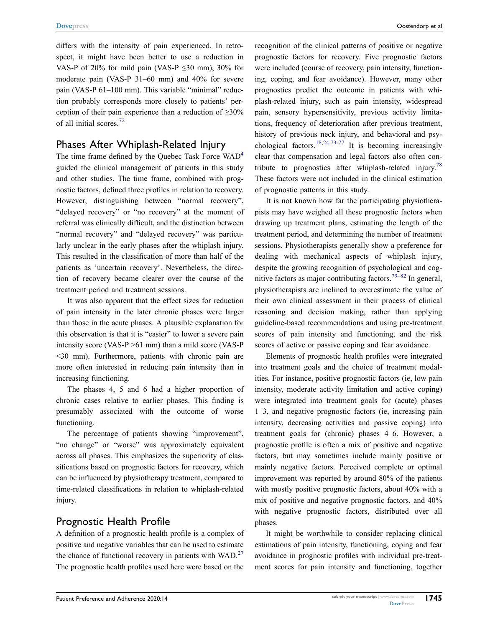differs with the intensity of pain experienced. In retrospect, it might have been better to use a reduction in VAS-P of 20% for mild pain (VAS-P  $\leq$ 30 mm), 30% for moderate pain (VAS-P 31–60 mm) and 40% for severe pain (VAS-P 61–100 mm). This variable "minimal" reduction probably corresponds more closely to patients' perception of their pain experience than a reduction of  $\geq 30\%$ of all initial scores.[72](#page-16-21)

## <span id="page-12-0"></span>Phases After Whiplash-Related Injury

The time frame defined by the Quebec Task Force  $WAD<sup>4</sup>$ guided the clinical management of patients in this study and other studies. The time frame, combined with prognostic factors, defned three profles in relation to recovery. However, distinguishing between "normal recovery", "delayed recovery" or "no recovery" at the moment of referral was clinically diffcult, and the distinction between "normal recovery" and "delayed recovery" was particularly unclear in the early phases after the whiplash injury. This resulted in the classifcation of more than half of the patients as 'uncertain recovery'. Nevertheless, the direction of recovery became clearer over the course of the treatment period and treatment sessions.

It was also apparent that the effect sizes for reduction of pain intensity in the later chronic phases were larger than those in the acute phases. A plausible explanation for this observation is that it is "easier" to lower a severe pain intensity score (VAS-P >61 mm) than a mild score (VAS-P <30 mm). Furthermore, patients with chronic pain are more often interested in reducing pain intensity than in increasing functioning.

The phases 4, 5 and 6 had a higher proportion of chronic cases relative to earlier phases. This fnding is presumably associated with the outcome of worse functioning.

The percentage of patients showing "improvement", "no change" or "worse" was approximately equivalent across all phases. This emphasizes the superiority of classifcations based on prognostic factors for recovery, which can be infuenced by physiotherapy treatment, compared to time-related classifcations in relation to whiplash-related injury.

## Prognostic Health Profle

A defnition of a prognostic health profle is a complex of positive and negative variables that can be used to estimate the chance of functional recovery in patients with  $WAD<sup>27</sup>$ The prognostic health profles used here were based on the

recognition of the clinical patterns of positive or negative prognostic factors for recovery. Five prognostic factors were included (course of recovery, pain intensity, functioning, coping, and fear avoidance). However, many other prognostics predict the outcome in patients with whiplash-related injury, such as pain intensity, widespread pain, sensory hypersensitivity, previous activity limitations, frequency of deterioration after previous treatment, history of previous neck injury, and behavioral and psy-chological factors.<sup>[18](#page-15-3)[,24,](#page-15-8)[73](#page-16-22)-77</sup> It is becoming increasingly clear that compensation and legal factors also often con-tribute to prognostics after whiplash-related injury.<sup>[78](#page-16-24)</sup> These factors were not included in the clinical estimation of prognostic patterns in this study.

<span id="page-12-3"></span><span id="page-12-2"></span><span id="page-12-1"></span>It is not known how far the participating physiotherapists may have weighed all these prognostic factors when drawing up treatment plans, estimating the length of the treatment period, and determining the number of treatment sessions. Physiotherapists generally show a preference for dealing with mechanical aspects of whiplash injury, despite the growing recognition of psychological and cog-nitive factors as major contributing factors.<sup>79–[82](#page-17-0)</sup> In general, physiotherapists are inclined to overestimate the value of their own clinical assessment in their process of clinical reasoning and decision making, rather than applying guideline-based recommendations and using pre-treatment scores of pain intensity and functioning, and the risk scores of active or passive coping and fear avoidance.

Elements of prognostic health profles were integrated into treatment goals and the choice of treatment modalities. For instance, positive prognostic factors (ie, low pain intensity, moderate activity limitation and active coping) were integrated into treatment goals for (acute) phases 1–3, and negative prognostic factors (ie, increasing pain intensity, decreasing activities and passive coping) into treatment goals for (chronic) phases 4–6. However, a prognostic profle is often a mix of positive and negative factors, but may sometimes include mainly positive or mainly negative factors. Perceived complete or optimal improvement was reported by around 80% of the patients with mostly positive prognostic factors, about 40% with a mix of positive and negative prognostic factors, and 40% with negative prognostic factors, distributed over all phases.

It might be worthwhile to consider replacing clinical estimations of pain intensity, functioning, coping and fear avoidance in prognostic profles with individual pre-treatment scores for pain intensity and functioning, together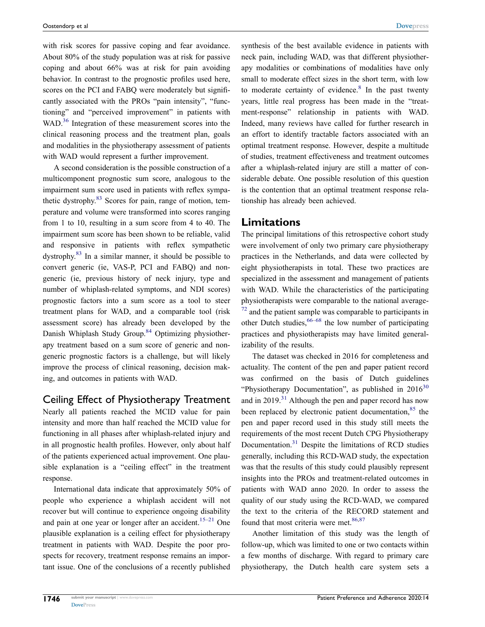with risk scores for passive coping and fear avoidance. About 80% of the study population was at risk for passive coping and about 66% was at risk for pain avoiding behavior. In contrast to the prognostic profles used here, scores on the PCI and FABQ were moderately but signifcantly associated with the PROs "pain intensity", "functioning" and "perceived improvement" in patients with WAD.<sup>36</sup> Integration of these measurement scores into the clinical reasoning process and the treatment plan, goals and modalities in the physiotherapy assessment of patients with WAD would represent a further improvement.

<span id="page-13-2"></span>A second consideration is the possible construction of a multicomponent prognostic sum score, analogous to the impairment sum score used in patients with refex sympathetic dystrophy[.83](#page-17-1) Scores for pain, range of motion, temperature and volume were transformed into scores ranging from 1 to 10, resulting in a sum score from 4 to 40. The impairment sum score has been shown to be reliable, valid and responsive in patients with refex sympathetic dystrophy.[83](#page-17-1) In a similar manner, it should be possible to convert generic (ie, VAS-P, PCI and FABQ) and nongeneric (ie, previous history of neck injury, type and number of whiplash-related symptoms, and NDI scores) prognostic factors into a sum score as a tool to steer treatment plans for WAD, and a comparable tool (risk assessment score) has already been developed by the Danish Whiplash Study Group.<sup>84</sup> Optimizing physiotherapy treatment based on a sum score of generic and nongeneric prognostic factors is a challenge, but will likely improve the process of clinical reasoning, decision making, and outcomes in patients with WAD.

## <span id="page-13-3"></span>Ceiling Effect of Physiotherapy Treatment

Nearly all patients reached the MCID value for pain intensity and more than half reached the MCID value for functioning in all phases after whiplash-related injury and in all prognostic health profles. However, only about half of the patients experienced actual improvement. One plausible explanation is a "ceiling effect" in the treatment response.

International data indicate that approximately 50% of people who experience a whiplash accident will not recover but will continue to experience ongoing disability and pain at one year or longer after an accident.<sup>[15](#page-15-2)–21</sup> One plausible explanation is a ceiling effect for physiotherapy treatment in patients with WAD. Despite the poor prospects for recovery, treatment response remains an important issue. One of the conclusions of a recently published

neck pain, including WAD, was that different physiotherapy modalities or combinations of modalities have only small to moderate effect sizes in the short term, with low to moderate certainty of evidence. $8 \text{ In the past twenty}$  $8 \text{ In the past twenty}$ years, little real progress has been made in the "treatment-response" relationship in patients with WAD. Indeed, many reviews have called for further research in an effort to identify tractable factors associated with an optimal treatment response. However, despite a multitude of studies, treatment effectiveness and treatment outcomes after a whiplash-related injury are still a matter of considerable debate. One possible resolution of this question is the contention that an optimal treatment response relationship has already been achieved. **Limitations**

synthesis of the best available evidence in patients with

The principal limitations of this retrospective cohort study were involvement of only two primary care physiotherapy practices in the Netherlands, and data were collected by eight physiotherapists in total. These two practices are specialized in the assessment and management of patients with WAD. While the characteristics of the participating physiotherapists were comparable to the national average  $72$  and the patient sample was comparable to participants in other Dutch studies,  $66-68$  $66-68$  the low number of participating practices and physiotherapists may have limited generalizability of the results.

<span id="page-13-4"></span><span id="page-13-1"></span><span id="page-13-0"></span>The dataset was checked in 2016 for completeness and actuality. The content of the pen and paper patient record was confrmed on the basis of Dutch guidelines "Physiotherapy Documentation", as published in  $2016^{30}$  $2016^{30}$  $2016^{30}$ and in 2019.<sup>[31](#page-15-13)</sup> Although the pen and paper record has now been replaced by electronic patient documentation, $85$  the pen and paper record used in this study still meets the requirements of the most recent Dutch CPG Physiotherapy Documentation.[31](#page-15-13) Despite the limitations of RCD studies generally, including this RCD-WAD study, the expectation was that the results of this study could plausibly represent insights into the PROs and treatment-related outcomes in patients with WAD anno 2020. In order to assess the quality of our study using the RCD-WAD, we compared the text to the criteria of the RECORD statement and found that most criteria were met. $86,87$  $86,87$ 

<span id="page-13-5"></span>Another limitation of this study was the length of follow-up, which was limited to one or two contacts within a few months of discharge. With regard to primary care physiotherapy, the Dutch health care system sets a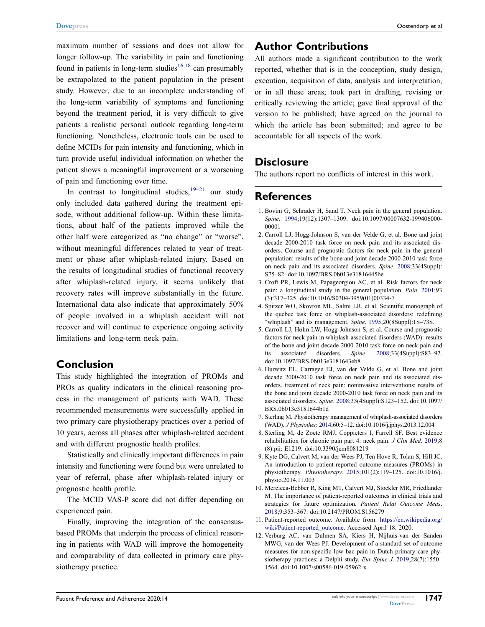**[Dovepress](http://www.dovepress.com)** Oostendorp et al

<span id="page-14-10"></span>maximum number of sessions and does not allow for longer follow-up. The variability in pain and functioning found in patients in long-term studies<sup>[16](#page-15-27),18</sup> can presumably be extrapolated to the patient population in the present study. However, due to an incomplete understanding of the long-term variability of symptoms and functioning beyond the treatment period, it is very difficult to give patients a realistic personal outlook regarding long-term functioning. Nonetheless, electronic tools can be used to defne MCIDs for pain intensity and functioning, which in turn provide useful individual information on whether the patient shows a meaningful improvement or a worsening of pain and functioning over time.

In contrast to longitudinal studies,  $19-21$  $19-21$  our study only included data gathered during the treatment episode, without additional follow-up. Within these limitations, about half of the patients improved while the other half were categorized as "no change" or "worse", without meaningful differences related to year of treatment or phase after whiplash-related injury. Based on the results of longitudinal studies of functional recovery after whiplash-related injury, it seems unlikely that recovery rates will improve substantially in the future. International data also indicate that approximately 50% of people involved in a whiplash accident will not recover and will continue to experience ongoing activity limitations and long-term neck pain.

## **Conclusion**

This study highlighted the integration of PROMs and PROs as quality indicators in the clinical reasoning process in the management of patients with WAD. These recommended measurements were successfully applied in two primary care physiotherapy practices over a period of 10 years, across all phases after whiplash-related accident and with different prognostic health profles.

Statistically and clinically important differences in pain intensity and functioning were found but were unrelated to year of referral, phase after whiplash-related injury or prognostic health profle.

The MCID VAS-P score did not differ depending on experienced pain.

Finally, improving the integration of the consensusbased PROMs that underpin the process of clinical reasoning in patients with WAD will improve the homogeneity and comparability of data collected in primary care physiotherapy practice.

## **Author Contributions**

All authors made a signifcant contribution to the work reported, whether that is in the conception, study design, execution, acquisition of data, analysis and interpretation, or in all these areas; took part in drafting, revising or critically reviewing the article; gave fnal approval of the version to be published; have agreed on the journal to which the article has been submitted; and agree to be accountable for all aspects of the work.

## **Disclosure**

The authors report no conficts of interest in this work.

## **References**

- <span id="page-14-0"></span>1. Bovim G, Schrader H, Sand T. Neck pain in the general population. *Spine*. [1994](#page-0-20);19(12):1307–1309. doi:[10.1097/00007632-199406000-](https://doi.org/10.1097/00007632-199406000-00001) [00001](https://doi.org/10.1097/00007632-199406000-00001)
- 2. Carroll LJ, Hogg-Johnson S, van der Velde G, et al. Bone and joint decade 2000-2010 task force on neck pain and its associated disorders. Course and prognostic factors for neck pain in the general population: results of the bone and joint decade 2000-2010 task force on neck pain and its associated disorders. *Spine*. 2008;33(4Suppl): S75–82. doi:[10.1097/BRS.0b013e31816445be](https://doi.org/10.1097/BRS.0b013e31816445be)
- <span id="page-14-1"></span>3. Croft PR, Lewis M, Papageorgiou AC, et al. Risk factors for neck pain: a longitudinal study in the general population. *Pain*. [2001](#page-0-20);93 (3):317–325. doi:[10.1016/S0304-3959\(01\)00334-7](https://doi.org/10.1016/S0304-3959(01)00334-7)
- <span id="page-14-2"></span>4. Spitzer WO, Skovron ML, Salmi LR, et al. Scientifc monograph of the quebec task force on whiplash-associated disorders: redefning "whiplash" and its management. *Spine*. [1995](#page-1-0);20(8Suppl):1S–73S.
- <span id="page-14-3"></span>5. Carroll LJ, Holm LW, Hogg-Johnson S, et al. Course and prognostic factors for neck pain in whiplash-associated disorders (WAD): results of the bone and joint decade 2000-2010 task force on neck pain and its associated disorders. *Spine*. [2008;](#page-1-1)33(4Suppl):S83–92. doi:[10.1097/BRS.0b013e3181643eb8](https://doi.org/10.1097/BRS.0b013e3181643eb8)
- <span id="page-14-4"></span>6. Hurwitz EL, Carragee EJ, van der Velde G, et al. Bone and joint decade 2000-2010 task force on neck pain and its associated disorders. treatment of neck pain: noninvasive interventions: results of the bone and joint decade 2000-2010 task force on neck pain and its associated disorders. *Spine*. [2008;](#page-1-2)33(4Suppl):S123–152. doi:[10.1097/](https://doi.org/10.1097/BRS.0b013e3181644b1d) [BRS.0b013e3181644b1d](https://doi.org/10.1097/BRS.0b013e3181644b1d)
- 7. Sterling M. Physiotherapy management of whiplash-associated disorders (WAD). *J Physiother*. 2014;60:5–12. doi:[10.1016/j.jphys.2013.12.004](https://doi.org/10.1016/j.jphys.2013.12.004)
- <span id="page-14-5"></span>8. Sterling M, de Zoete RMJ, Coppieters I, Farrell SF. Best evidence rehabilitation for chronic pain part 4: neck pain. *J Clin Med*. [2019](#page-1-2);8 (8):pii: E1219. doi:[10.3390/jcm8081219](https://doi.org/10.3390/jcm8081219)
- <span id="page-14-6"></span>9. Kyte DG, Calvert M, van der Wees PJ, Ten Hove R, Tolan S, Hill JC. An introduction to patient-reported outcome measures (PROMs) in physiotherapy. *Physiotherapy*. [2015;](#page-1-3)101(2):119–125. doi:[10.1016/j.](https://doi.org/10.1016/j.physio.2014.11.003) [physio.2014.11.003](https://doi.org/10.1016/j.physio.2014.11.003)
- <span id="page-14-7"></span>10. Mercieca-Bebber R, King MT, Calvert MJ, Stockler MR, Friedlander M. The importance of patient-reported outcomes in clinical trials and strategies for future optimization. *Patient Relat Outcome Meas*. [2018](#page-1-4);9:353–367. doi:[10.2147/PROM.S156279](https://doi.org/10.2147/PROM.S156279)
- <span id="page-14-8"></span>11. Patient-reported outcome. Available from: [https://en.wikipedia.org/](https://en.wikipedia.org/wiki/Patient-reported_outcome) [wiki/Patient-reported\\_outcome.](https://en.wikipedia.org/wiki/Patient-reported_outcome) Accessed April 18, 2020.
- <span id="page-14-9"></span>12. Verburg AC, van Dulmen SA, Kiers H, Nijhuis-van der Sanden MWG, van der Wees PJ. Development of a standard set of outcome measures for non-specifc low bac pain in Dutch primary care physiotherapy practices: a Delphi study. *Eur Spine J*. [2019;](#page-1-5)28(7):1550– 1564. doi:[10.1007/s00586-019-05962-x](https://doi.org/10.1007/s00586-019-05962-x)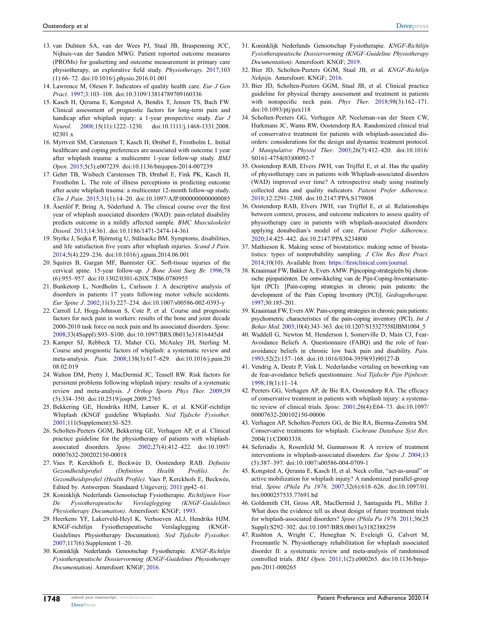- <span id="page-15-0"></span>13. van Dulmen SA, van der Wees PJ, Staal JB, Braspenning JCC, Nijhuis-van der Sanden MWG. Patient reported outcome measures (PROMs) for goalsetting and outcome measurement in primary care physiotherapy, an explorative feld study. *Physiotherapy*. [2017](#page-1-5);103 (1):66–72. doi:[10.1016/j.physio.2016.01.001](https://doi.org/10.1016/j.physio.2016.01.001)
- <span id="page-15-1"></span>14. Lawrence M, Olesen F. Indicators of quality health care. *Eur J Gen Pract*. [1997](#page-1-6);3:103–108. doi:[10.3109/13814789709160336](https://doi.org/10.3109/13814789709160336)
- <span id="page-15-2"></span>15. Kasch H, Qerama E, Kongsted A, Bendix T, Jensen TS, Bach FW. Clinical assessment of prognostic factors for long-term pain and handicap after whiplash injury: a 1-year prospective study. *Eur J Neurol*. [2008;](#page-1-7)15(11):1222–1230. doi:[10.1111/j.1468-1331.2008.](https://doi.org/10.1111/j.1468-1331.2008.02301.x)  02301 x
- <span id="page-15-27"></span>16. Myrtveit SM, Carstensen T, Kasch H, Ørnbøl E, Frostholm L. Initial healthcare and coping preferences are associated with outcome 1 year after whiplash trauma: a multicentre 1-year follow-up study. *BMJ Open*. [2015;](#page-14-10)5(3):e007239. doi:[10.1136/bmjopen-2014-007239](https://doi.org/10.1136/bmjopen-2014-007239)
- 17. Gehrt TB, Wisbech Carstensen TB, Ørnbøl E, Fink PK, Kasch H, Frostholm L. The role of illness perceptions in predicting outcome after acute whiplash trauma: a multicenter 12-month follow-up study. *Clin J Pain*. 2015;31(1):14–20. doi:[10.1097/AJP.0000000000000085](https://doi.org/10.1097/AJP.0000000000000085)
- <span id="page-15-3"></span>18. Åsenlöf P, Bring A, Söderlund A. The clinical course over the frst year of whiplash associated disorders (WAD): pain-related disability predicts outcome in a mildly affected sample. *BMC Musculoskelet Disord*. [2013](#page-1-7);14:361. doi:[10.1186/1471-2474-14-361](https://doi.org/10.1186/1471-2474-14-361)
- <span id="page-15-4"></span>19. Styrke J, Sojka P, Björnstig U, Stålnacke BM. Symptoms, disabilities, and life satisfaction fve years after whiplash injuries. *Scand J Pain*. [2014;](#page-1-8)5(4):229–236. doi:[10.1016/j.sjpain.2014.06.001](https://doi.org/10.1016/j.sjpain.2014.06.001)
- 20. Squires B, Gargan MF, Bannister GC. Soft-tissue injuries of the cervical spine. 15-year follow-up. *J Bone Joint Surg Br.* 1996;78 (6):955–957. doi:[10.1302/0301-620X.78B6.0780955](https://doi.org/10.1302/0301-620X.78B6.0780955)
- <span id="page-15-5"></span>21. Bunketorp L, Nordholm L, Carlsson J. A descriptive analysis of disorders in patients 17 years following motor vehicle accidents. *Eur Spine J*. [2002;](#page-1-9)11(3):227–234. doi:[10.1007/s00586-002-0393-y](https://doi.org/10.1007/s00586-002-0393-y)
- <span id="page-15-6"></span>22. Carroll LJ, Hogg-Johnson S, Cote P, et al. Course and prognostic factors for neck pain in workers: results of the bone and joint decade 2000-2010 task force on neck pain and lts associated disorders. *Spine*. [2008;](#page-1-8)33(4Suppl):S93–S100. doi:[10.1097/BRS.0b013e31816445d4](https://doi.org/10.1097/BRS.0b013e31816445d4)
- <span id="page-15-7"></span>23. Kamper SJ, Rebbeck TJ, Maher CG, McAuley JH, Sterling M. Course and prognostic factors of whiplash: a systematic review and meta-analysis. *Pain*. [2008](#page-1-1);138(3):617–629. doi:[10.1016/j.pain.20](https://doi.org/10.1016/j.pain.2008.02.019)  [08.02.019](https://doi.org/10.1016/j.pain.2008.02.019)
- <span id="page-15-8"></span>24. Walton DM, Pretty J, MacDermid JC, Teasell RW. Risk factors for persistent problems following whiplash injury: results of a systematic review and meta-analysis. *J Orthop Sports Phys Ther*. [2009](#page-1-1);39 (5):334–350. doi:[10.2519/jospt.2009.2765](https://doi.org/10.2519/jospt.2009.2765)
- <span id="page-15-9"></span>25. Bekkering GE, Hendriks HJM, Lanser K, et al. KNGF-richtlijn Whiplash (KNGF guideline Whiplash). *Ned Tijdschr Fysiother*. [2001;](#page-1-10)111(Supplement):Sl–S25.
- <span id="page-15-10"></span>26. Scholten-Peeters GGM, Bekkering GE, Verhagen AP, et al. Clinical practice guideline for the physiotherapy of patients with whiplashassociated disorders. *Spine*. [2002](#page-1-11);27(4):412–422. doi:[10.1097/](https://doi.org/10.1097/00007632-200202150-00018)  [00007632-200202150-00018](https://doi.org/10.1097/00007632-200202150-00018)
- <span id="page-15-11"></span>27. Vaes P, Kerckhofs E, Beckwée D, Oostendorp RAB. *Defnitie Gezondheidsprofel (Defnition Health Profle). In: Gezondheidsprofel (Health Profle)*. Vaes P, Kerckhofs E, Beckwée, Edited by. Antwerpen: Standaard Uitgeverij; [2011](#page-1-12):pp42–61.
- <span id="page-15-12"></span>28. Koninklijk Nederlands Genootschap Fysiotherapie. *Richtlijnen Voor De Fysiotherapeutische Verslaglegging (KNGF-Guidelines Physiotherapy Documation)*. Amersfoort: KNGF; [1993.](#page-1-13)
- 29. Heerkens YF, Lakerveld-Heyl K, Verhoeven ALJ, Hendriks HJM. KNGF-richtlijn Fysiotherapeutische Verslaglegging (KNGF-Guidelines Physiotherapy Documation). *Ned Tijdschr Fysiother*. 2007;117(6):Supplement 1–20.
- <span id="page-15-26"></span>30. Koninklijk Nederlands Genootschap Fysiotherapie. *KNGF-Richtlijn Fysiotherapeutische Dossiervorming (KNGF-Guidelines Physiotherapy Documentation)*. Amersfoort: KNGF; [2016](#page-13-0).
- <span id="page-15-13"></span>31. Koninklijk Nederlands Genootschap Fysiotherapie. *KNGF-Richtlijn Fysiotherapeutische Dossiervorming (KNGF-Guideline Physiotherapy Documentation)*. Amersfoort: KNGF; [2019](#page-1-13).
- <span id="page-15-14"></span>32. Bier JD, Scholten-Peeters GGM, Staal JB, et al. *KNGF-Richtlijn Nekpijn*. Amersfoort: KNGF; [2016](#page-1-14).
- <span id="page-15-15"></span>33. Bier JD, Scholten-Peeters GGM, Staal JB, et al. Clinical practice guideline for physical therapy assessment and treatment in patients with nonspecifc neck pain. *Phys Ther*. [2018;](#page-1-14)98(3):162–171. doi:[10.1093/ptj/pzx118](https://doi.org/10.1093/ptj/pzx118)
- <span id="page-15-16"></span>34. Scholten-Peeters GG, Verhagen AP, Neeleman-van der Steen CW, Hurkmans JC, Wams RW, Oostendorp RA. Randomized clinical trial of conservative treatment for patients with whiplash-associated disorders: considerations for the design and dynamic treatment protocol. *J Manipulative Physiol Ther*. [2003](#page-1-11);26(7):412–420. doi:[10.1016/](https://doi.org/10.1016/S0161-4754(03)00092-7) [S0161-4754\(03\)00092-7](https://doi.org/10.1016/S0161-4754(03)00092-7)
- <span id="page-15-17"></span>35. Oostendorp RAB, Elvers JWH, van Trijffel E, et al. Has the quality of physiotherapy care in patients with Whiplash-associated disorders (WAD) improved over time? A retrospective study using routinely collected data and quality indicators. *Patient Prefer Adherence*. [2018](#page-1-15);12:2291–2308. doi:[10.2147/PPA.S179808](https://doi.org/10.2147/PPA.S179808)
- <span id="page-15-18"></span>36. Oostendorp RAB, Elvers JWH, van Trijffel E, et al. Relationships between context, process, and outcome indicators to assess quality of physiotherapy care in patients with whiplash-associated disorders: applying donabedian's model of care. *Patient Prefer Adherence*. [2020](#page-1-15);14:425–442. doi:[10.2147/PPA.S234800](https://doi.org/10.2147/PPA.S234800)
- <span id="page-15-19"></span>37. Mathieson K. Making sense of biostatistics: making sense of biostatistics: types of nonprobability sampling. *J Clin Res Best Pract*. [2014](#page-2-0);10(10). Available from: [https://frstclinical.com/journal](https://firstclinical.com/journal).
- <span id="page-15-20"></span>38. Kraaimaat FW, Bakker A, Evers AMW. Pijncoping-strategieën bij chronische pijnpatiënten. De ontwikkeling van de Pijn-Coping-lnventarisatielijst (PCI). [Pain-coping strategies in chronic pain patients: the development of the Pain Coping lnventory (PCI)]. *Gedragstherapie.*  [1997;](#page-2-1)30:185–201.
- <span id="page-15-21"></span>39. Kraaimaat FW, Evers AW. Pain-coping strategies in chronic pain patients: psychometric characteristics of the pain-coping inventory (PCI). *Int J Behav Med*. [2003;](#page-2-2)10(4):343–363. doi:[10.1207/S15327558IJBM1004\\_5](https://doi.org/10.1207/S15327558IJBM1004_5)
- <span id="page-15-22"></span>40. Waddell G, Newton M, Henderson I, Somerville D, Main CJ, Fear-Avoidance Beliefs A. Questionnaire (FABQ) and the role of fearavoidance beliefs in chronic low back pain and disability. *Pain*. [1993](#page-2-3);52(2):157–168. doi:[10.1016/0304-3959\(93\)90127-B](https://doi.org/10.1016/0304-3959(93)90127-B)
- <span id="page-15-23"></span>41. Vendrig A, Deutz P, Vink L. Nederlandse vertaling en bewerking van de fear-avoidance beliefs questionnaire. *Ned Tijdschr Pijn Pijnbestr*. [1998](#page-2-4);18(1):11–14.
- <span id="page-15-24"></span>42. Peeters GG, Verhagen AP, de Bie RA, Oostendorp RA. The efficacy of conservative treatment in patients with whiplash injury: a systematic review of clinical trials. *Spine*. [2001](#page-3-1);26(4):E64–73. doi:[10.1097/](https://doi.org/10.1097/00007632-200102150-00006) [00007632-200102150-00006](https://doi.org/10.1097/00007632-200102150-00006)
- 43. Verhagen AP, Scholten-Peeters GG, de Bie RA, Bierma-Zeinstra SM. Conservative treatments for whiplash. *Cochrane Database Syst Rev*. 2004(1):CD003338.
- 44. Seferiadis A, Rosenfeld M, Gunnarsson R. A review of treatment interventions in whiplash-associated disorders. *Eur Spine J*. 2004;13 (5):387–397. doi:[10.1007/s00586-004-0709-1](https://doi.org/10.1007/s00586-004-0709-1)
- 45. Kongsted A, Qerama E, Kasch H, et al. Neck collar, "act-as-usual" or active mobilization for whiplash injury? A randomized parallel-group trial. *Spine (Phila Pa 1976*. 2007;32(6):618–626. doi:[10.1097/01.](https://doi.org/10.1097/01.brs.0000257535.77691.bd) [brs.0000257535.77691.bd](https://doi.org/10.1097/01.brs.0000257535.77691.bd)
- 46. Goldsmith CH, Gross AR, MacDermid J, Santaguida PL, Miller J. What does the evidence tell us about design of future treatment trials for whiplash-associated disorders? *Spine (Phila Pa 1976*. 2011;36(25 Suppl):S292–302. doi:[10.1097/BRS.0b013e3182388259](https://doi.org/10.1097/BRS.0b013e3182388259)
- <span id="page-15-25"></span>47. Rushton A, Wright C, Heneghan N, Eveleigh G, Calvert M, Freemantle N. Physiotherapy rehabilitation for whiplash associated disorder II: a systematic review and meta-analysis of randomised controlled trials. *BMJ Open*. [2011](#page-3-1);1(2):e000265. doi:[10.1136/bmjo](https://doi.org/10.1136/bmjopen-2011-000265)[pen-2011-000265](https://doi.org/10.1136/bmjopen-2011-000265)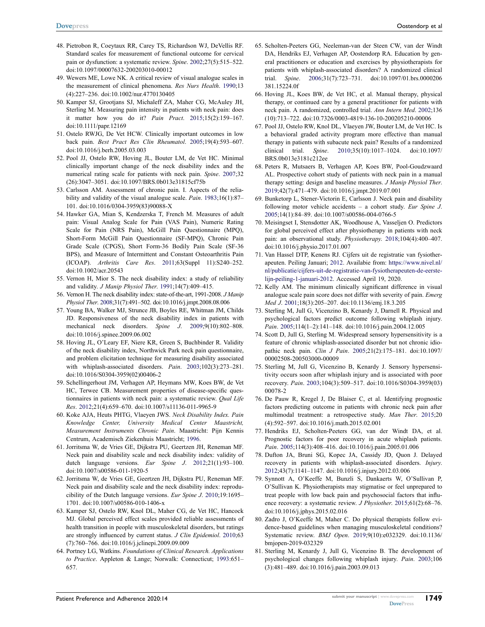- <span id="page-16-0"></span>48. Pietrobon R, Coeytaux RR, Carey TS, Richardson WJ, DeVellis RF. Standard scales for measurement of functional outcome for cervical pain or dysfunction: a systematic review. *Spine*. [2002;](#page-4-0)27(5):515–522. doi:[10.1097/00007632-200203010-00012](https://doi.org/10.1097/00007632-200203010-00012)
- <span id="page-16-1"></span>49. Wewers ME, Lowe NK. A critical review of visual analogue scales in the measurement of clinical phenomena. *Res Nurs Health*. [1990](#page-4-1);13 (4):227–236. doi:[10.1002/nur.4770130405](https://doi.org/10.1002/nur.4770130405)
- <span id="page-16-2"></span>50. Kamper SJ, Grootjans SJ, Michaleff ZA, Maher CG, McAuley JH, Sterling M. Measuring pain intensity in patients with neck pain: does it matter how you do it? *Pain Pract*. [2015;](#page-4-1)15(2):159–167. doi:[10.1111/papr.12169](https://doi.org/10.1111/papr.12169)
- <span id="page-16-3"></span>51. Ostelo RWJG, De Vet HCW. Clinically important outcomes in low back pain. *Best Pract Res Clin Rheumatol*. [2005;](#page-4-2)19(4):593–607. doi:[10.1016/j.berh.2005.03.003](https://doi.org/10.1016/j.berh.2005.03.003)
- <span id="page-16-4"></span>52. Pool JJ, Ostelo RW, Hoving JL, Bouter LM, de Vet HC. Minimal clinically important change of the neck disability index and the numerical rating scale for patients with neck pain. *Spine*. [2007](#page-4-3);32 (26):3047–3051. doi:[10.1097/BRS.0b013e31815cf75b](https://doi.org/10.1097/BRS.0b013e31815cf75b)
- <span id="page-16-5"></span>53. Carlsson AM. Assessment of chronic pain. I. Aspects of the reliability and validity of the visual analogue scale. *Pain*. [1983;](#page-4-4)16(1):87– 101. doi:[10.1016/0304-3959\(83\)90088-X](https://doi.org/10.1016/0304-3959(83)90088-X)
- <span id="page-16-6"></span>54. Hawker GA, Mian S, Kendzerska T, French M. Measures of adult pain: Visual Analog Scale for Pain (VAS Pain), Numeric Rating Scale for Pain (NRS Pain), McGill Pain Questionnaire (MPQ), Short-Form McGill Pain Questionnaire (SF-MPQ), Chronic Pain Grade Scale (CPGS), Short Form-36 Bodily Pain Scale (SF-36 BPS), and Measure of Intermittent and Constant Osteoarthritis Pain (ICOAP). *Arthritis Care Res*. [2011;](#page-4-4)63(Suppl 11):S240–252. doi:[10.1002/acr.20543](https://doi.org/10.1002/acr.20543)
- <span id="page-16-7"></span>55. Vernon H, Mior S. The neck disability index: a study of reliability and validity. *J Manip Physiol Ther*. [1991](#page-4-5);14(7):409–415.
- <span id="page-16-8"></span>56. Vernon H. The neck disability index: state-of-the-art, 1991-2008. *J Manip Physiol Ther*. [2008;](#page-4-5)31(7):491–502. doi:[10.1016/j.jmpt.2008.08.006](https://doi.org/10.1016/j.jmpt.2008.08.006)
- <span id="page-16-9"></span>57. Young BA, Walker MJ, Strunce JB, Boyles RE, Whitman JM, Childs JD. Responsiveness of the neck disability index in patients with mechanical neck disorders. *Spine J*. [2009;](#page-4-3)9(10):802–808. doi:[10.1016/j.spinee.2009.06.002](https://doi.org/10.1016/j.spinee.2009.06.002)
- 58. Hoving JL, O'Leary EF, Niere KR, Green S, Buchbinder R. Validity of the neck disability index, Northwick Park neck pain questionnaire, and problem elicitation technique for measuring disability associated with whiplash-associated disorders. *Pain*. 2003;102(3):273–281. doi:[10.1016/S0304-3959\(02\)00406-2](https://doi.org/10.1016/S0304-3959(02)00406-2)
- <span id="page-16-10"></span>59. Schellingerhout JM, Verhagen AP, Heymans MW, Koes BW, de Vet HC, Terwee CB. Measurement properties of disease-specifc questionnaires in patients with neck pain: a systematic review. *Qual Life Res*. [2012;](#page-4-3)21(4):659–670. doi:[10.1007/s11136-011-9965-9](https://doi.org/10.1007/s11136-011-9965-9)
- <span id="page-16-11"></span>60. Koke AJA, Heuts PHTG, Vlaeyen JWS. *Neck Disability Index. Pain Knowledge Center, University Medical Center Maastricht, Measurement Instruments Chronic Pain*. Maastricht: Pijn Kennis Centrum, Academisch Ziekenhuis Maastricht; [1996.](#page-4-6)
- <span id="page-16-12"></span>61. Jorritsma W, de Vries GE, Dijkstra PU, Geertzen JH, Reneman MF. Neck pain and disability scale and neck disability index: validity of dutch language versions. *Eur Spine J*. [2012;](#page-4-7)21(1):93–100. doi:[10.1007/s00586-011-1920-5](https://doi.org/10.1007/s00586-011-1920-5)
- <span id="page-16-13"></span>62. Jorritsma W, de Vries GE, Geertzen JH, Dijkstra PU, Reneman MF. Neck pain and disability scale and the neck disability index: reproducibility of the Dutch language versions. *Eur Spine J*. [2010](#page-4-7);19:1695– 1701. doi:[10.1007/s00586-010-1406-x](https://doi.org/10.1007/s00586-010-1406-x)
- <span id="page-16-14"></span>63. Kamper SJ, Ostelo RW, Knol DL, Maher CG, de Vet HC, Hancock MJ. Global perceived effect scales provided reliable assessments of health transition in people with musculoskeletal disorders, but ratings are strongly infuenced by current status. *J Clin Epidemiol*. [2010](#page-4-8);63 (7):760–766. doi:[10.1016/j.jclinepi.2009.09.009](https://doi.org/10.1016/j.jclinepi.2009.09.009)
- <span id="page-16-15"></span>64. Portney LG, Watkins. *Foundations of Clinical Research. Applications to Practice*. Appleton & Lange; Norwalk: Connecticut; [1993](#page-4-9):651– 657.
- <span id="page-16-16"></span>65. Scholten-Peeters GG, Neeleman-van der Steen CW, van der Windt DA, Hendriks EJ, Verhagen AP, Oostendorp RA. Education by general practitioners or education and exercises by physiotherapists for patients with whiplash-associated disorders? A randomized clinical trial. *Spine*. [2006;](#page-9-0)31(7):723–731. doi:[10.1097/01.brs.0000206](https://doi.org/10.1097/01.brs.0000206381.15224.0f) [381.15224.0f](https://doi.org/10.1097/01.brs.0000206381.15224.0f)
- <span id="page-16-26"></span>66. Hoving JL, Koes BW, de Vet HC, et al. Manual therapy, physical therapy, or continued care by a general practitioner for patients with neck pain. A randomized, controlled trial. *Ann Intern Med*. [2002](#page-13-1);136 (10):713–722. doi:[10.7326/0003-4819-136-10-200205210-00006](https://doi.org/10.7326/0003-4819-136-10-200205210-00006)
- 67. Pool JJ, Ostelo RW, Knol DL, Vlaeyen JW, Bouter LM, de Vet HC. Is a behavioral graded activity program more effective than manual therapy in patients with subacute neck pain? Results of a randomized clinical trial. *Spine*. 2010;35(10):1017–1024. doi:[10.1097/](https://doi.org/10.1097/BRS.0b013e3181c212ee) [BRS.0b013e3181c212ee](https://doi.org/10.1097/BRS.0b013e3181c212ee)
- <span id="page-16-17"></span>68. Peters R, Mutsaers B, Verhagen AP, Koes BW, Pool-Goudzwaard AL. Prospective cohort study of patients with neck pain in a manual therapy setting: design and baseline measures. *J Manip Physiol Ther*. [2019](#page-9-0);42(7):471–479. doi:[10.1016/j.jmpt.2019.07.001](https://doi.org/10.1016/j.jmpt.2019.07.001)
- <span id="page-16-18"></span>69. Bunketorp L, Stener-Victorin E, Carlsson J. Neck pain and disability following motor vehicle accidents – a cohort study. *Eur Spine J*. [2005](#page-9-1);14(1):84–89. doi:[10.1007/s00586-004-0766-5](https://doi.org/10.1007/s00586-004-0766-5)
- <span id="page-16-19"></span>70. Meisingset I, Stensdotter AK, Woodhouse A, Vasseljen O. Predictors for global perceived effect after physiotherapy in patients with neck pain: an observational study. *Physiotherapy*. [2018;](#page-9-1)104(4):400–407. doi:[10.1016/j.physio.2017.01.007](https://doi.org/10.1016/j.physio.2017.01.007)
- <span id="page-16-20"></span>71. Van Hassel DTP, Kenens RJ. Cijfers uit de registratie van fysiotherapeuten. Peiling Januari; [2012.](#page-9-2) Availabie from: [https://www.nivel.nl/](https://www.nivel.nl/nl/publicatie/cijfers-uit-de-registratie-van-fysiotherapeuten-de-eerste-lijn-peiling-1-januari-2012) [nl/publicatie/cijfers-uit-de-registratie-van-fysiotherapeuten-de-eerste](https://www.nivel.nl/nl/publicatie/cijfers-uit-de-registratie-van-fysiotherapeuten-de-eerste-lijn-peiling-1-januari-2012)[lijn-peiling-1-januari-2012](https://www.nivel.nl/nl/publicatie/cijfers-uit-de-registratie-van-fysiotherapeuten-de-eerste-lijn-peiling-1-januari-2012). Accessed April 19, 2020.
- <span id="page-16-21"></span>72. Kelly AM. The minimum clinically signifcant difference in visual analogue scale pain score does not differ with severity of pain. *Emerg Med J*. [2001](#page-12-0);18(3):205–207. doi:[10.1136/emj.18.3.205](https://doi.org/10.1136/emj.18.3.205)
- <span id="page-16-22"></span>73. Sterling M, Jull G, Vicenzino B, Kenardy J, Darnell R. Physical and psychological factors predict outcome following whiplash injury. *Pain*. [2005](#page-12-1);114(1–2):141–148. doi:[10.1016/j.pain.2004.12.005](https://doi.org/10.1016/j.pain.2004.12.005)
- 74. Scott D, Jull G, Sterling M. Widespread sensory hypersensitivity is a feature of chronic whiplash-associated disorder but not chronic idiopathic neck pain. *Clin J Pain*. 2005;21(2):175–181. doi:[10.1097/](https://doi.org/10.1097/00002508-200503000-00009) [00002508-200503000-00009](https://doi.org/10.1097/00002508-200503000-00009)
- 75. Sterling M, Jull G, Vicenzino B, Kenardy J. Sensory hypersensitivity occurs soon after whiplash injury and is associated with poor recovery. *Pain*. 2003;104(3):509–517. doi:[10.1016/S0304-3959\(03\)](https://doi.org/10.1016/S0304-3959(03)00078-2) [00078-2](https://doi.org/10.1016/S0304-3959(03)00078-2)
- 76. De Pauw R, Kregel J, De Blaiser C, et al. Identifying prognostic factors predicting outcome in patients with chronic neck pain after multimodal treatment: a retrospective study. *Man Ther*. 2015;20 (4):592–597. doi:[10.1016/j.math.2015.02.001](https://doi.org/10.1016/j.math.2015.02.001)
- <span id="page-16-23"></span>77. Hendriks EJ, Scholten-Peeters GG, van der Windt DA, et al. Prognostic factors for poor recovery in acute whiplash patients. *Pain*. [2005](#page-12-1);114(3):408–416. doi:[10.1016/j.pain.2005.01.006](https://doi.org/10.1016/j.pain.2005.01.006)
- <span id="page-16-24"></span>78. Dufton JA, Bruni SG, Kopec JA, Cassidy JD, Quon J. Delayed recovery in patients with whiplash-associated disorders. *Injury*. [2012](#page-12-2);43(7):1141–1147. doi:[10.1016/j.injury.2012.03.006](https://doi.org/10.1016/j.injury.2012.03.006)
- <span id="page-16-25"></span>79. Synnott A, O'Keeffe M, Bunzli S, Dankaerts W, O'Sullivan P, O'Sullivan K. Physiotherapists may stigmatise or feel unprepared to treat people with low back pain and psychosocial factors that infuence recovery: a systematic review. *J Physiother*. [2015;](#page-12-3)61(2):68–76. doi:[10.1016/j.jphys.2015.02.016](https://doi.org/10.1016/j.jphys.2015.02.016)
- 80. Zadro J, O'Keeffe M, Maher C. Do physical therapists follow evidence-based guidelines when managing musculoskeletal conditions? Systematic review. *BMJ Open*. 2019;9(10):e032329. doi:[10.1136/](https://doi.org/10.1136/bmjopen-2019-032329) [bmjopen-2019-032329](https://doi.org/10.1136/bmjopen-2019-032329)
- 81. Sterling M, Kenardy J, Jull G, Vicenzino B. The development of psychological changes following whiplash injury. *Pain*. 2003;106 (3):481–489. doi:[10.1016/j.pain.2003.09.013](https://doi.org/10.1016/j.pain.2003.09.013)